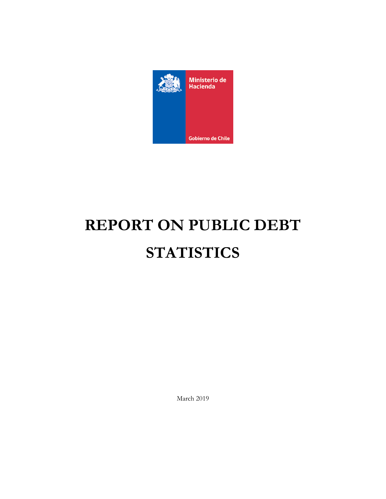

# **REPORT ON PUBLIC DEBT STATISTICS**

March 2019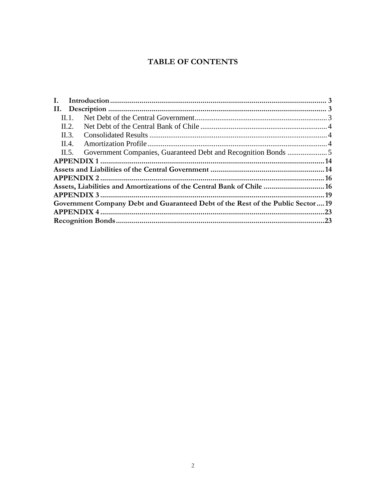# **TABLE OF CONTENTS**

| Н. 1.          |                                                                                |  |
|----------------|--------------------------------------------------------------------------------|--|
| $\text{II}.2.$ |                                                                                |  |
| $\text{II}.3.$ |                                                                                |  |
| II.4.          |                                                                                |  |
| $\Pi$ . 5.     |                                                                                |  |
|                |                                                                                |  |
|                |                                                                                |  |
|                |                                                                                |  |
|                | Assets, Liabilities and Amortizations of the Central Bank of Chile  16         |  |
|                |                                                                                |  |
|                | Government Company Debt and Guaranteed Debt of the Rest of the Public Sector19 |  |
|                |                                                                                |  |
|                |                                                                                |  |
|                |                                                                                |  |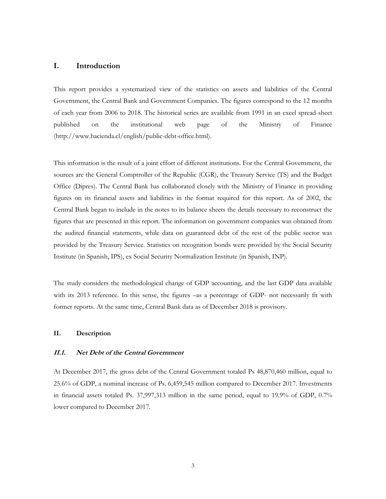## <span id="page-2-0"></span>**I. Introduction**

This report provides a systematized view of the statistics on assets and liabilities of the Central Government, the Central Bank and Government Companies. The figures correspond to the 12 months of each year from 2006 to 2018. The historical series are available from 1991 in an excel spread-sheet published on the institutional web page of the Ministry of Finance (http://www.hacienda.cl/english/public-debt-office.html).

This information is the result of a joint effort of different institutions. For the Central Government, the sources are the General Comptroller of the Republic (CGR), the Treasury Service (TS) and the Budget Office (Dipres). The Central Bank has collaborated closely with the Ministry of Finance in providing figures on its financial assets and liabilities in the format required for this report. As of 2002, the Central Bank began to include in the notes to its balance sheets the details necessary to reconstruct the figures that are presented in this report. The information on government companies was obtained from the audited financial statements, while data on guaranteed debt of the rest of the public sector was provided by the Treasury Service. Statistics on recognition bonds were provided by the Social Security Institute (in Spanish, IPS), ex Social Security Normalization Institute (in Spanish, INP).

The study considers the methodological change of GDP accounting, and the last GDP data available with its 2013 reference. In this sense, the figures –as a percentage of GDP- not necessarily fit with former reports. At the same time, Central Bank data as of December 2018 is provisory.

#### <span id="page-2-1"></span>**II. Description**

#### <span id="page-2-2"></span>**II.1. Net Debt of the Central Government**

At December 2017, the gross debt of the Central Government totaled Ps 48,870,460 million, equal to 25.6% of GDP, a nominal increase of Ps. 6,459,545 million compared to December 2017. Investments in financial assets totaled Ps. 37,997,313 million in the same period, equal to 19.9% of GDP, 0.7% lower compared to December 2017.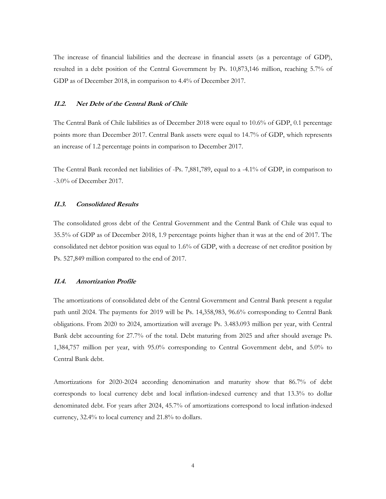The increase of financial liabilities and the decrease in financial assets (as a percentage of GDP), resulted in a debt position of the Central Government by Ps. 10,873,146 million, reaching 5.7% of GDP as of December 2018, in comparison to 4.4% of December 2017.

#### <span id="page-3-0"></span>**II.2. Net Debt of the Central Bank of Chile**

The Central Bank of Chile liabilities as of December 2018 were equal to 10.6% of GDP, 0.1 percentage points more than December 2017. Central Bank assets were equal to 14.7% of GDP, which represents an increase of 1.2 percentage points in comparison to December 2017.

The Central Bank recorded net liabilities of -Ps. 7,881,789, equal to a -4.1% of GDP, in comparison to -3.0% of December 2017.

## <span id="page-3-1"></span>**II.3. Consolidated Results**

The consolidated gross debt of the Central Government and the Central Bank of Chile was equal to 35.5% of GDP as of December 2018, 1.9 percentage points higher than it was at the end of 2017. The consolidated net debtor position was equal to 1.6% of GDP, with a decrease of net creditor position by Ps. 527,849 million compared to the end of 2017.

#### <span id="page-3-2"></span>**II.4. Amortization Profile**

The amortizations of consolidated debt of the Central Government and Central Bank present a regular path until 2024. The payments for 2019 will be Ps. 14,358,983, 96.6% corresponding to Central Bank obligations. From 2020 to 2024, amortization will average Ps. 3.483.093 million per year, with Central Bank debt accounting for 27.7% of the total. Debt maturing from 2025 and after should average Ps. 1,384,757 million per year, with 95.0% corresponding to Central Government debt, and 5.0% to Central Bank debt.

Amortizations for 2020-2024 according denomination and maturity show that 86.7% of debt corresponds to local currency debt and local inflation-indexed currency and that 13.3% to dollar denominated debt. For years after 2024, 45.7% of amortizations correspond to local inflation-indexed currency, 32.4% to local currency and 21.8% to dollars.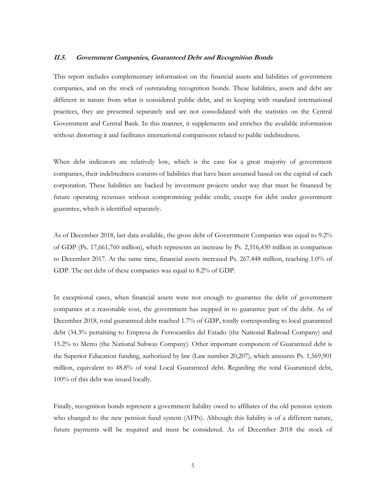#### <span id="page-4-0"></span>**II.5. Government Companies, Guaranteed Debt and Recognition Bonds**

This report includes complementary information on the financial assets and liabilities of government companies, and on the stock of outstanding recognition bonds. These liabilities, assets and debt are different in nature from what is considered public debt, and in keeping with standard international practices, they are presented separately and are not consolidated with the statistics on the Central Government and Central Bank. In this manner, it supplements and enriches the available information without distorting it and facilitates international comparisons related to public indebtedness.

When debt indicators are relatively low, which is the case for a great majority of government companies, their indebtedness consists of liabilities that have been assumed based on the capital of each corporation. These liabilities are backed by investment projects under way that must be financed by future operating revenues without compromising public credit, except for debt under government guarantee, which is identified separately.

As of December 2018, last data available, the gross debt of Government Companies was equal to 9.2% of GDP (Ps. 17,661,760 million), which represents an increase by Ps. 2,316,430 million in comparison to December 2017. At the same time, financial assets increased Ps. 267.448 million, reaching 1.0% of GDP. The net debt of these companies was equal to 8.2% of GDP.

In exceptional cases, when financial assets were not enough to guarantee the debt of government companies at a reasonable cost, the government has stepped in to guarantee part of the debt. As of December 2018, total guaranteed debt reached 1.7% of GDP, totally corresponding to local guaranteed debt (34.3% pertaining to Empresa de Ferrocarriles del Estado (the National Railroad Company) and 15.2% to Metro (the National Subway Company). Other important component of Guaranteed debt is the Superior Education funding, authorized by law (Law number 20,207), which amounts Ps. 1,569,901 million, equivalent to 48.8% of total Local Guaranteed debt. Regarding the total Guaranteed debt, 100% of this debt was issued locally.

Finally, recognition bonds represent a government liability owed to affiliates of the old pension system who changed to the new pension fund system (AFPs). Although this liability is of a different nature, future payments will be required and must be considered. As of December 2018 the stock of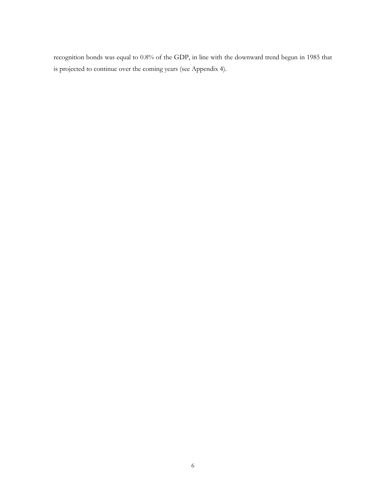recognition bonds was equal to 0.8% of the GDP, in line with the downward trend begun in 1985 that is projected to continue over the coming years (see Appendix 4).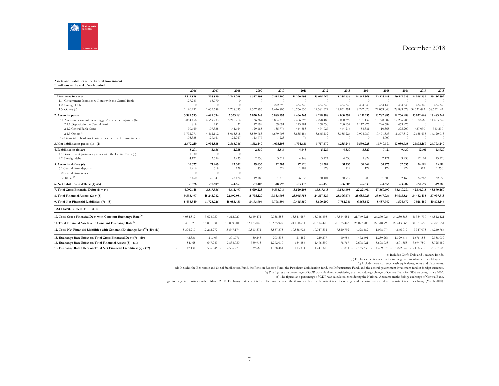

#### **Assets and Liabilities of the Central Government In millions at the end of each period**

|                                                                                            | 2006         | 2007           | 2008          | 2009          | 2010           | 2011          | 2012         | 2013           | 2014                  | 2015         | 2016       | 2017           | 2018                 |
|--------------------------------------------------------------------------------------------|--------------|----------------|---------------|---------------|----------------|---------------|--------------|----------------|-----------------------|--------------|------------|----------------|----------------------|
| 1. Liabilities in pesos                                                                    | 1.317.575    | 1.704.559      | 2.768.095     | 4.337.895     | 7.889.100      | 11.200.998    | 13.015.967   | 15.285.636     | 18.681.365            | 22.523.188   | 29.317.723 | 34.965.837     | 39.186.492           |
| 1.1. Government Promissory Notes with the Central Bank                                     | 127.283      | 68.770         | $\theta$      | $\Omega$      | $\overline{0}$ | $\theta$      | $\theta$     | $\Omega$       | $\Omega$              | $\Omega$     | $\Omega$   | $\theta$       | $\Omega$             |
| 1.2. Foreign Debt                                                                          | $\Omega$     | $\theta$       | $\theta$      | $\Omega$      | 272.295        | 434.345       | 434.345      | 434.345        | 434.345               | 464.148      | 434.345    | 434.345        | 434.345              |
| 1.3. Others(a)                                                                             | 1.190.292    | 1.635.788      | 2.768.095     | 4.337.895     | 7.616.805      | 10.766.653    | 12.581.622   | 14.851.291     | 18.247.020            | 22.059.040   | 28.883.378 | 34.531.492     | 38.752.147           |
| 2. Assets in pesos                                                                         | 3.989.793    | 4.699.394      | 5.333.181     | 5.850.344     | 6.885.997      | 9.406.367     | 9.298.488    | 9.000.392      | 9.151.137             | 10,782,887   | 12.236.988 | 13.072.668     | 14.483.242           |
| 2.1 Assets in pesos not including gov't-owned companies (b)                                | 3.884.458    | 4.569.733      | 5.210.214     | 5.736.367     | 6.884.775      | 9.406.293     | 9.298.488    | 9.000.392      | 9.151.137             | 10,778,887   | 12.236.988 | 13.072.668     | 14.483.242           |
| 2.1.1 Deposits in the Central Bank                                                         | 818          | 282            | 32            | 17.199        | 69.091         | 125.981       | 158.330      | 200.952        | 1.117.977             | 296.689      | 463.976    | $\theta$       | $\Omega$             |
| 2.1.2 Central Bank Notes                                                                   | 90.669       | 107.338        | 144.664       | 129.185       | 135,776        | 444,858       | 474.927      | 444.216        | 58.381                | 10.365       | 395.200    | 437.030        | 363.230              |
| 2.1.3 Others <sup>(c)</sup>                                                                | 3.792.971    | 4.462.112      | 5.065.518     | 5.589.983     | 6.679.908      | 8.835.454     | 8.665.232    | 8.355.224      | 7.974.780             | 10.471.833   | 11.377.812 | 12.635.638     | 14.120.013           |
| 2.2 Financial debt of gov't companies owed to the government                               | 105.335      | 129.661        | 122.967       | 113,977       | 1.223          | 74            | $\theta$     |                |                       | 4.000        | $\Omega$   | $\Omega$       | $\Omega$             |
| 3. Net liabilities in pesos: (1) - (2)                                                     | $-2.672.219$ | $-2.994.835$   | $-2.565.086$  | $-1.512.449$  | 1.003.103      | 1.794.631     | 3.717.479    | 6.285.244      | 9.530.228             | 11.740.301   | 17.080.735 | 21.893.169     | 24,703,249           |
| 4. Liabilities in dollars                                                                  | 5.201        | 3.656          | 2.935         | 2.530         | 3.514          | 4.448         | 5.227        | 4.330          | 5.829                 | 7.121        | 9.430      | 12.101         | 13.920               |
| 4.1 Government promissory notes with the Central Bank (c)                                  | 1.030        | $\overline{0}$ | $\theta$      | $\theta$      | $\overline{0}$ | $\theta$      | $\theta$     | $\overline{0}$ | $\overline{0}$        | $\theta$     | $\theta$   | $\theta$       | $\theta$             |
| 4.2 Foreign debt                                                                           | 4.171        | 3.656          | 2.935         | 2.530         | 3.514          | 4.448         | 5.227        | 4.330          | 5.829                 | 7.121        | 9.430      | 12.101         | 13.920               |
| 5. Assets in dollars (d)                                                                   | 10.377       | 21.265         | 27.602        | 19.633        | 22.307         | 27,920        | 31.382       | 31.133         | 32.162                | 31.477       | 32.637     | 34.800         | 33.800               |
| 5.1 Central Bank deposits                                                                  | 1.916        | 318            | 128           | 453           | 529            | 1.284         | 978          | 214            | 179                   | 174          | 474        | 517            | 1.250                |
| 5.2 Central Bank notes                                                                     | $\Omega$     | $\Omega$       | $\Omega$      | $\Omega$      | $\Omega$       | $\Omega$      | $\Omega$     | $\overline{0}$ | $\Omega$              | $\theta$     | $\Omega$   | $\overline{0}$ | $\Omega$             |
| 5.3 Others <sup>(d)</sup>                                                                  | 8.460        | 20.947         | 27.474        | 19.180        | 21.778         | 26.636        | 30.404       | 30.919         | 31.983                | 31.303       | 32.163     | 34.283         | 32.550               |
| 6. Net liabilities in dollars: (4) -(5)                                                    | $-5.176$     | $-17,609$      | $-24.667$     | $-17.103$     | $-18.793$      | $-23.473$     | $-26.155$    | $-26.803$      | $-26.333$             | $-24.356$    | $-23.207$  | $-22.699$      | $-19.880$            |
| 7. Total Gross Financial Debt: (1) + (4)                                                   | 4.097.148    | 3.517.356      | 4.614.497     | 5.619.223     | 9.535.014      | 13.520.205    | 15.517.618   | 17.553.695     | 22.221.911            | 27.560.190   | 35.610.201 | 42,410.915     | 48,870,460           |
| 8. Total Financial Assets: $(2) + (5)$                                                     | 9.535.497    | 15.243.082     | 22,697.951    | 15,793,129    | 17.333.908     | 23.965.755    | 24.317.827   | 25,306,676     | 28,685,723            | 33.047.936   | 34.015.524 | 34,482,435     | 37.997.313           |
| 9. Total Net Financial Liabilities: (7) - (8)                                              | $-5.438.349$ | $-11.725.726$  | $-18.083.453$ | $-10.173.906$ | $-7.798.894$   | $-10.445.550$ | $-8,800,209$ | $-7.752.981$   | $-6.463.812$          | $-5.487.747$ | 1.594.677  | 7.928.480      | 10.873.146           |
| <b>EXCHANGE RATE EFFECT:</b>                                                               |              |                |               |               |                |               |              |                |                       |              |            |                |                      |
| 10. Total Gross Financial Debt with Constant Exchange Rate <sup>(h)</sup> :                | 4.054.812    | 3.628.759      | 4.312.727     | 5.669.471     | 9.738.553      | 13.541.687    | 15.766.895   | 17.564.651     | 21.749.221            | 26.270.924   | 34.280.585 | 41.334.730     | 46.512.421           |
| 11. Total Financial Assets with Constant Exchange Rate <sup>(h)</sup> :                    | 9.451.029    | 15.891.031     | 19.859.901    | 16.183.042    | 18.625.927     | 24.100.611    | 25.814.426   | 25.385.443     | 26.077.703            | 27.348.998   | 29.413.666 | 31.387.655     | 32.271.654           |
| 12. Total Net Financial Liabilities with Constant Exchange Rate <sup>(h)</sup> : (10)-(11) | 5.396.217    | 12.262.272     | 15.547.174    | 10.513.571    | 8.887.375      | 10.558.924    | 10.047.531   |                | 7.820.792 - 4.328.482 | 1.078.074    | 4.866.919  |                | 9.947.075 14.240.766 |
| 13. Exchange Rate Effect on Total Gross Financial Debt (7) - (10)                          | 42.336       | 111.403        | 301.771       | 50.248        | 203.538        | 21.482        | 249.277 -    | 10.956         | 472.691               | 1.289.266    | 1.329.616  | 1.076.185      | 2.358.039            |
| 14. Exchange Rate Effect on Total Financial Assets (8) - (11)                              | 84.468       | 647.949        | 2.838.050     | 389.913       | 1.292.019      | 134.856       | 1.496.599    | 78.767         | 2.608.021             | 5.698.938    | 4.601.858  | 3.094.780      | 5.725.659            |
| 15. Exchange Rate Effect on Total Net Financial Liabilities: (9) - (12)                    | 42.131       | 536.546        | 2.536.279     | 339.665       | 1.088.481      | 113.374       | 1.247.322    | 67.811         | 2.135.330             | 4.409.673    | 3.272.242  | $-2.018,595$   | $-3.367.620$         |

(a) Includes Corfo Debt and Treasury Bonds.

(b) Excludes receivables due from the government under the old system.

(c) Includes local currency, cash equivalents, loans and placements.

(d) Includes the Economic and Social Stabilization Fund, the Pension Reserve Fund, the Pertoleum Stabilization fund, the Infrastructure Fund, and the central government investment fund in foreign currency.<br>(e) The figures

(f) The figures as a percentage of GDP was calculated considering the National Accounts methodology exchange of Central Bank.

(g) Exchange rate corresponds to March 2010 . Exchange Rate effect is the difference between the items calculated with current rate of exchange and the same calculated with constant rate of exchange (March 2010).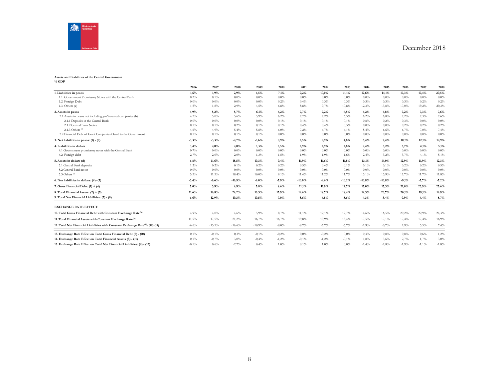

#### **Assets and Liabilities of the Central Government**

**% GDP**

|                                                                                            | 2006     | 2007     | 2008     | 2009     | 2010    | 2011     | 2012    | 2013     | 2014     | 2015     | 2016    | 2017     | 2018    |
|--------------------------------------------------------------------------------------------|----------|----------|----------|----------|---------|----------|---------|----------|----------|----------|---------|----------|---------|
| 1. Liabilities in pesos                                                                    | 1,6%     | 1,9%     | 2,9%     | 4,5%     | 7,1%    | 9,2%     | 10,0%   | 11,1%    | 12,6%    | 14,1%    | 17,3%   | 19,4%    | 20,5%   |
| 1.1. Government Promissory Notes with the Central Bank                                     | 0,2%     | 0,1%     | 0,0%     | $0,0\%$  | 0,0%    | 0.0%     | 0.0%    | $0.0\%$  | 0.0%     | $0.0\%$  | $0.0\%$ | 0.0%     | $0,0\%$ |
| 1.2. Foreign Debt                                                                          | $0.0\%$  | $0.0\%$  | 0,0%     | $0.0\%$  | 0,2%    | 0,4%     | 0,3%    | 0,3%     | 0,3%     | 0,3%     | 0,3%    | 0,2%     | 0,2%    |
| $1.3.$ Others $(a)$                                                                        | 1,5%     | 1,8%     | 2,9%     | 4,5%     | 6,8%    | 8,8%     | 9,7%    | 10,8%    | 12,3%    | 13,8%    | 17,0%   | 19,2%    | 20,3%   |
| 2. Assets in pesos                                                                         | 4,9%     | 5,2%     | 5,7%     | 6,1%     | 6,2%    | 7,7%     | 7,2%    | 6,5%     | 6,2%     | 6,8%     | 7,2%    | 7,3%     | 7,6%    |
| 2.1 Assets in pesos not including gov't-owned companies (b)                                | 4,7%     | 5,0%     | 5,6%     | 5.9%     | 6,2%    | 7,7%     | 7,2%    | 6.5%     | 6,2%     | 6,8%     | 7,2%    | 7,3%     | 7,6%    |
| 2.1.1 Deposits in the Central Bank                                                         | $0.0\%$  | $0.0\%$  | $0.0\%$  | $0.0\%$  | 0,1%    | 0,1%     | 0,1%    | 0,1%     | 0.8%     | 0,2%     | 0,3%    | 0.0%     | $0,0\%$ |
| 2.1.2 Central Bank Notes                                                                   | 0,1%     | 0,1%     | 0,2%     | 0,1%     | 0,1%    | 0,4%     | 0,4%    | 0.3%     | $0.0\%$  | $0.0\%$  | 0,2%    | 0,2%     | 0,2%    |
| 2.1.3 Others $\frac{6}{3}$                                                                 | 4,6%     | 4,9%     | 5,4%     | 5,8%     | 6,0%    | 7,2%     | 6,7%    | 6,1%     | 5,4%     | 6,6%     | 6,7%    | 7,0%     | 7,4%    |
| 2.2 Financial Debt of Gov't Companies Owed to the Government                               | 0,1%     | 0,1%     | 0,1%     | 0,1%     | $0.0\%$ | 0.0%     | $0.0\%$ | $0.0\%$  | $0.0\%$  | $0.0\%$  | $0.0\%$ | 0.0%     | $0,0\%$ |
| 3. Net liabilities in pesos: $(1) - (2)$                                                   | $-3,3%$  | $-3,3%$  | $-2,7%$  | $-1,6%$  | 0,9%    | 1,5%     | 2,9%    | 4,6%     | 6,4%     | 7,4%     | 10,1%   | 12,1%    | 12,9%   |
| 4. Liabilities in dollars                                                                  | 3,4%     | 2,0%     | 2,0%     | 1,3%     | 1,5%    | 1,9%     | 1,9%    | 1,6%     | 2,4%     | 3,2%     | 3,7%    | 4,1%     | 5,1%    |
| 4.1 Government promissory notes with the Central Bank                                      | 0,7%     | $0.0\%$  | $0.0\%$  | $0.0\%$  | $0.0\%$ | 0.0%     | $0.0\%$ | $0.0\%$  | $0.0\%$  | $0.0\%$  | $0,0\%$ | 0.0%     | $0,0\%$ |
| 4.2 Foreign debt                                                                           | 2,7%     | 2,0%     | 2,0%     | 1,3%     | 1,5%    | 1,9%     | 1,9%    | 1,6%     | 2,4%     | 3,2%     | 3,7%    | 4,1%     | 5,1%    |
| 5. Assets in dollars (d)                                                                   | 6,8%     | 11,6%    | 18,5%    | 10,3%    | 9,4%    | 11,9%    | 11,6%   | 11,8%    | 13,1%    | 14,0%    | 12,9%   | 11,9%    | 12,3%   |
| 5.1 Central Bank deposits                                                                  | 1,2%     | 0,2%     | 0,1%     | 0,2%     | 0,2%    | 0,5%     | 0,4%    | 0,1%     | 0,1%     | 0,1%     | 0,2%    | 0,2%     | 0,5%    |
| 5.2 Central Bank notes                                                                     | 0.0%     | $0.0\%$  | $0.0\%$  | $0.0\%$  | $0.0\%$ | 0.0%     | 0.0%    | $0.0\%$  | $0.0\%$  | $0.0\%$  | $0.0\%$ | 0.0%     | $0,0\%$ |
| 5.3 Others <sup>(d)</sup>                                                                  | 5,5%     | 11,5%    | 18,4%    | 10,0%    | 9,1%    | 11,4%    | 11,2%   | 11,7%    | 13,1%    | 13,9%    | 12,7%   | 11,7%    | 11,8%   |
| 6. Net liabilities in dollars: (4) -(5)                                                    | $-3,4%$  | $-9,6%$  | $-16,5%$ | $-9,0%$  | $-7,9%$ | $-10,0%$ | $-9,6%$ | $-10,2%$ | $-10,8%$ | $-10,8%$ | $-9,1%$ | $-7,7%$  | $-7,2%$ |
| 7. Gross Financial Debt: $(1) + (4)$                                                       | 5,0%     | 3,9%     | 4,9%     | 5,8%     | 8,6%    | 11,1%    | 11,9%   | 12,7%    | 15,0%    | 17,3%    | 21,0%   | 23,5%    | 25,6%   |
| 8. Total Financial Assets: (2) + (5)                                                       | 11,6%    | 16,8%    | 24,2%    | 16,3%    | 15,5%   | 19.6%    | 18,7%   | 18,4%    | 19,3%    | 20,7%    | 20,1%   | 19,1%    | 19,9%   |
| 9. Total Net Financial Liabilities: (7) - (8)                                              | $-6,6%$  | $-12,9%$ | $-19,3%$ | $-10,5%$ | $-7,0%$ | $-8,6%$  | $-6,8%$ | $-5,6%$  | $-4,3%$  | $-3,4%$  | 0,9%    | 4,4%     | 5,7%    |
| <b>EXCHANGE RATE EFFECT:</b>                                                               |          |          |          |          |         |          |         |          |          |          |         |          |         |
| 10. Total Gross Financial Debt with Constant Exchange Rate <sup>(h)</sup> :                | 4,9%     | 4,0%     | 4,6%     | 5,9%     | 8,7%    | 11,1%    | 12,1%   | 12,7%    | 14,6%    | 16,5%    | 20,2%   | 22,9%    | 24,3%   |
| 11. Total Financial Assets with Constant Exchange Rate <sup>(h)</sup> :                    | 11,5%    | 17,5%    | 21,2%    | 16,7%    | 16,7%   | 19,8%    | 19,9%   | 18,4%    | 17,5%    | 17,1%    | 17,4%   | 17,4%    | 16,9%   |
| 12. Total Net Financial Liabilities with Constant Exchange Rate <sup>(h)</sup> : (10)-(11) | $-6,6%$  | $-13,5%$ | $-16,6%$ | $-10,9%$ | $-8,0%$ | $-8,7%$  | $-7,7%$ | $-5,7%$  | $-2,9%$  | $-0,7%$  | 2,9%    | 5,5%     | 7,4%    |
| 13. Exchange Rate Effect on Total Gross Financial Debt (7) - (10)                          | 0,1%     | $-0.1\%$ | 0,3%     | $-0.1\%$ | $-0,2%$ | 0.0%     | $-0.2%$ | $0.0\%$  | 0,3%     | 0.8%     | 0.8%    | 0,6%     | 1,2%    |
| 14. Exchange Rate Effect on Total Financial Assets (8) - (11)                              | 0,1%     | $-0,7%$  | 3,0%     | $-0.4%$  | $-1,2%$ | $-0.1%$  | $-1.2%$ | $-0.1%$  | 1.8%     | 3.6%     | 2,7%    | 1,7%     | 3,0%    |
| 15. Exchange Rate Effect on Total Net Financial Liabilities: (9) - (12)                    | $-0.1\%$ | 0,6%     | $-2,7%$  | 0,4%     | 1.0%    | 0.1%     | 1.0%    | $0.0\%$  | $-1.4%$  | $-2,8%$  | $-1,9%$ | $-1,1\%$ | $-1,8%$ |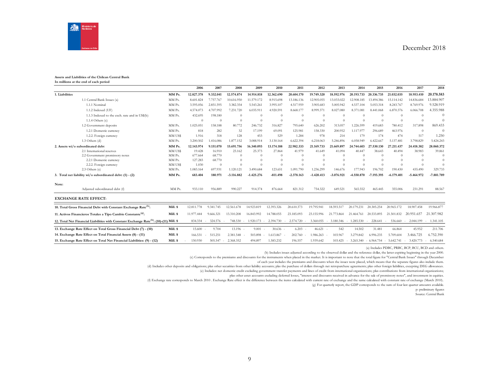

#### **Assets and Liabilities of the Chilean Central Bank In millions at the end of each period**

|                |                                                                                                     |          | 2006       | 2007        | 2008         | 2009         | 2010       | 2011         | 2012         | 2013         | 2014         | 2015         | 2016         | 2017         | 2018                  |
|----------------|-----------------------------------------------------------------------------------------------------|----------|------------|-------------|--------------|--------------|------------|--------------|--------------|--------------|--------------|--------------|--------------|--------------|-----------------------|
| 1. Liabilities |                                                                                                     | MM Ps.   | 12.827.378 | 9.332.041   | 12,574,874   | 14.914.818   | 12.362.690 | 20.604.170   | 19.749.320   | 18.592.976   | 20.193.733   | 20.336.735   | 21.032.035   | 18.953.410   | 20.178.583            |
|                | 1.1 Central Bank Issues (a)                                                                         | MM Ps.   | 8.601.824  | 7.757.767   | 10.616.950   | 11.579.172   | 8.915.698  | 13.186.136   | 12.905.055   | 13.033.022   | 12.908.185   | 13.494.386   | 15.114.142   | 14.836.684   | 13.884.907            |
|                | 1.1.1 Nominal                                                                                       | MM Ps.   | 3.595.056  | 2.851.595   | 3.382.354    | 5.543.261    | 3.995.107  | 4.517.959    | 3.905.683    | 5.005.942    | 4.537.104    | 5.053.318    | 8.243.767    | 8.769.976    | 9.528.919             |
|                | 1.1.2 Indexed (UF)                                                                                  | MM Ps.   | 4.574.073  | 4.707.992   | 7.231.720    | 6.035.911    | 4.920.591  | 8.668.177    | 8.999.371    | 8.027.080    | 8.371.081    | 8.441.068    | 6.870.376    | 6.066.708    | 4.355.988             |
|                | 1.1.3 Indexed to the exch. rate and in US\$(b)                                                      | MM Ps.   | 432.695    | 198.180     | $\Omega$     | $\Omega$     | $\Omega$   | $\theta$     | $\theta$     | $\Omega$     | $\Omega$     | $\Omega$     | $\theta$     | - 0          | $\Omega$              |
|                | 1.1.4 Others $(c)$                                                                                  |          | $\Omega$   | $\Omega$    | $\Omega$     | $\theta$     | $\Omega$   | $\theta$     | $\theta$     | $\Omega$     | $\Omega$     | $\Omega$     | $\theta$     | $\theta$     | $\Omega$              |
|                | 1.2 Government deposits                                                                             | MM Ps.   | 1.025.051  | 158.188     | 80,772       | 246.732      | 316.827    | 795.640      | 626.202      | 313.057      | 1.226.599    | 419.683      | 780.412      | 317.898      | 869.433               |
|                | 1.2.1 Domestic currency                                                                             | MM Ps.   | 818        | 282         | 32           | 17.199       | 69.091     | 125.981      | 158.330      | 200.952      | 1.117.977    | 296.689      | 463.976      | $\Omega$     | $\Omega$              |
|                | 1.2.2. Foreign currency                                                                             | MM US\$  | 1.916      | 318         | 128          | 453          | 529        | 1.284        | 978          | 214          | 179          | 174          | 474          | 517          | 1.250                 |
|                | 1.3 Others (d)                                                                                      | MM Ps.   | 3.200.502  | 1.416.086   | 1.877.152    | 3.088.914    | 3.130.164  | 6.622.394    | 6.218.063    | 5.246.896    | 6.058.949    | 6.422.667    | 5.137.481    | 3.798.829    | 5.424.243             |
|                | 2. Assets wi/o subordinated debt                                                                    | MM Ps.   | 12.143.974 | 9.151.070   | 15.691.756   | 16.340.093   | 13.174.188 | 22.982.333   | 21.169.733   | 21.669.897   | 24.744.603   | 27.530.130   | 27.211.437   | 24.418.382   | 28.060.372            |
|                | 2.1 International reserves                                                                          | MM US\$  | 19.428     | 16.910      | 23.162       | 25.373       | 27.864     | 41.979       | 41.649       | 41.094       | 40,447       | 38.643       | 40.494       | 38.983       | 39.861                |
|                | 2.2 Government promissory notes                                                                     | MM Ps.   | 677.664    | 68.770      | $\Omega$     | $\Omega$     | $\Omega$   | $\Omega$     | $\Omega$     | $\Omega$     | $\Omega$     | $\Omega$     | $\Omega$     | $\theta$     | $\Omega$              |
|                | 2.2.1 Domestic currency                                                                             | MM Ps.   | 127.283    | 68,770      | $\Omega$     | $\Omega$     |            |              |              | $\Omega$     | $\Omega$     | $\Omega$     | $\Omega$     | $\Omega$     |                       |
|                | 2.2.2. Foreign currency                                                                             | MM US\$  | 1.030      | $\Omega$    | -0           | $\Omega$     | $\Omega$   | $\Omega$     | $\Omega$     | $\Omega$     | $\Omega$     | $\Omega$     | $\Omega$     | $\theta$     | $\Omega$              |
|                | 2.3 Others (e)                                                                                      | MM Ps.   | 1.083.164  | 697.931     | 1.120.121    | 3.490.684    | 123.651    | 1.091.790    | 1.236.299    | 146.676      | 177.943      | 196.702      | 190.430      | 435.490      | 329.733               |
|                | 3. Total net liability wi/o subordinated debt: (1) - (2)                                            | MM Ps.   | 683.404    | 180.971     | $-3.116.882$ | $-1.425.276$ | $-811.498$ | $-2.378.163$ | $-1.420.413$ | $-3.076.921$ | $-4.550.870$ | $-7.193.395$ | $-6.179.401$ | $-5.464.972$ | $-7.881.789$          |
| Note:          |                                                                                                     |          |            |             |              |              |            |              |              |              |              |              |              |              |                       |
|                | Adjusted subordinated debt (f)                                                                      | MM Ps.   | 933.110    | 956.889     | 990.227      | 914.374      | 876.664    | 821.312      | 754.322      | 649.521      | 565.552      | 465.445      | 355,006      | 231.291      | 88.567                |
|                | <b>EXCHANGE RATE EFFECT:</b>                                                                        |          |            |             |              |              |            |              |              |              |              |              |              |              |                       |
|                | 10. Total Gross Financial Debt with Constant Exchange Rate <sup>(h)</sup> :                         | Mill. \$ | 12.811.778 | 9.341.745   | 12.561.678   | 14.923.819   | 12.393.326 | 20.610.373   | 19.795.941   | 18.593.517   | 20.179.231   | 20.305.254   | 20.965.172   | 18.907.458   | 19.966.877            |
|                | 11. Activos Financieros Totales a Tipo Cambio Constante <sup>(g)</sup> :                            | Mill. \$ | 11.977.444 | 9.666.321   | 13.310.208   | 16.843.992   | 14.788.055 | 23.185.093   | 23.155.996   | 21.773.864   | 21.464.761   | 20.533.895   | 21.501.832   | 20.951.657   | 21.307.982            |
|                | 12. Total Net Financial Liabilities with Constant Exchange Rate <sup>(h)</sup> : (10)-(11) Mill. \$ |          | 834.334    | 324.576     | 748.530      | 1.920.173    | 2.394.730  | 2.574.720    | 3.360.055    | 3.180.346    | 1.285.530    | 228.641      | 536.660      | 2.044.199    | 1.341.105             |
|                | 13. Exchange Rate Effect on Total Gross Financial Debt (7) - (10)                                   | Mill. \$ | 15.600     | 9.704       | 13.196       | 9.001        | 30.636     | 6.203        | 46.621       | 542          | 14.502       | 31.481       | 66.864       | 45.952       | 211.706               |
|                | 14. Exchange Rate Effect on Total Financial Assets (8) - (11)                                       | Mill. \$ | 166.531    | 515.251     | 2.381.548    | 503.898      | 1.613.867  | 202.760      | 1.986.263    | 103.967      | 3.279.842    | 6.996.235    | 5.709.604    | 3.466.725    | 6.752.390             |
|                | 15. Exchange Rate Effect on Total Net Financial Liabilities: (9) - (12)                             | Mill. \$ | 150.930    | $505.547 -$ | 2.368.352    | 494.897      | 1.583.232  | 196.557      | 1.939.642    | 103.425      | 3.265.340    | $-6.964.754$ | 5.642.741    | $-3.420.773$ | 6.540.684<br><b>A</b> |

(a) Includes PDBC, PRBC, BCP, BCU, BCD and others.

(b) Includes issues adjusted according to the observed dollar and the reference dollar, the latter expiring beginning in the year 2000.

(c) Corresponds to the premiums and discounts for the instruments when placed in the market. It is important to note that the total figure for "Central Bank Issues" through December

of each year includes the premiums and discounts when the issues were placed, which means that the separate figures also include them.

(d) Includes other deposits and obligations; plus other securities from other liability accounts; plas the purchase of dollars through net retropurchase agreements; plus other foreign liabilities, excepting DEG allowances.

(e) Includes: net domestic credit excluding government transfer payments and lines of credit from international organizations; plus contributions from international organizations;

plus other asset accounts excluding deferred losses, "interest and discounts received in advance for the sale of promissory notes", and investment in equities.

(f) Exchange rate corresponds to March 2010 . Exchange Rate effect is the difference between the items calculated with current rate of exchange and the same calculated with constant rate of exchange (March 2010).

(g) For quarterly report, the GDP corresponds to the sum of four last quarter amounts available.

p: preliminary figures

Source: Central Bank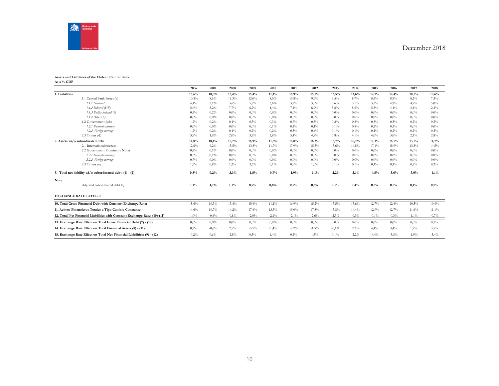

#### **Assets and Liabilities of the Chilean Central Bank As a % GDP**

|                |                                                                            | 2006    | 2007    | 2008    | 2009    | 2010    | 2011     | 2012     | 2013    | 2014    | 2015    | 2016    | 2017     | 2018    |
|----------------|----------------------------------------------------------------------------|---------|---------|---------|---------|---------|----------|----------|---------|---------|---------|---------|----------|---------|
| 1. Liabilities |                                                                            | 15,6%   | 10,3%   | 13,4%   | 15,4%   | 11,1%   | 16,9%    | 15,2%    | 13,5%   | 13,6%   | 12,7%   | 12,4%   | 10,5%    | 10,6%   |
|                | 1.1 Central Bank Issues (a)                                                | 10,5%   | 8,6%    | 11,3%   | 12,0%   | 8,0%    | 10,8%    | 9,9%     | 9,5%    | 8,7%    | 8,5%    | 8,9%    | 8,2%     | 7,3%    |
|                | 1.1.1 Nominal                                                              | 4,4%    | 3,1%    | 3,6%    | 5,7%    | 3,6%    | 3,7%     | 3,0%     | 3,6%    | 3,1%    | 3.2%    | 4,9%    | 4.9%     | 5.0%    |
|                | 1.1.2 Indexed (UF)                                                         | 5,6%    | 5,2%    | 7,7%    | 6,2%    | 4,4%    | 7,1%     | 6,9%     | 5,8%    | 5,6%    | 5,3%    | 4,1%    | 3,4%     | 2,3%    |
|                | 1.1.3 Dollar indexed (b)                                                   | 0,5%    | 0,2%    | 0,0%    | $0.0\%$ | 0.0%    | $0.0\%$  | $0.0\%$  | $0.0\%$ | $0.0\%$ | $0.0\%$ | 0.0%    | 0.0%     | $0.0\%$ |
|                | $1.1.4$ Others (c)                                                         | $0,0\%$ | $0.0\%$ | 0,0%    | $0.0\%$ | 0.0%    | $0.0\%$  | $0.0\%$  | $0.0\%$ | $0,0\%$ | $0.0\%$ | 0.0%    | 0.0%     | $0.0\%$ |
|                | 1.2 Government debt                                                        | 1,2%    | 0,2%    | 0,1%    | 0.3%    | 0.3%    | 0,7%     | 0,5%     | 0,2%    | 0.8%    | 0.3%    | 0,5%    | 0.2%     | 0.5%    |
|                | 1.2.1 Domestic currency                                                    | 0.0%    | $0.0\%$ | 0,0%    | $0.0\%$ | 0,1%    | 0,1%     | 0,1%     | 0,1%    | 0.8%    | 0.2%    | 0,3%    | 0.0%     | $0.0\%$ |
|                | 1.2.2. Foreign currency                                                    | 1,2%    | 0,2%    | 0,1%    | 0,2%    | 0,2%    | 0,5%     | 0,4%     | 0,1%    | 0,1%    | 0.1%    | 0,2%    | 0,2%     | 0.5%    |
|                | 2.3 Others (d)                                                             | 3,9%    | 1,6%    | 2,0%    | 3,2%    | 2,8%    | 5,4%     | 4,8%     | 3,8%    | 4,1%    | 4.0%    | 3,0%    | 2,1%     | 2,8%    |
|                | 2. Assets wi/o subordinated debt                                           | 14,8%   | 10,1%   | 16,7%   | 16,9%   | 11,8%   | 18,8%    | 16,3%    | 15,7%   | 16,7%   | 17,3%   | 16.1%   | 13,5%    | 14,7%   |
|                | 2.1 International reserves                                                 | 12,6%   | 9,2%    | 15,5%   | 13,3%   | 11,7%   | 17,9%    | 15,3%    | 15,6%   | 16,5%   | 17,1%   | 15,9%   | 13,3%    | 14,5%   |
|                | 2.2 Government Promissory Notes                                            | 0.8%    | 0,1%    | $0.0\%$ | $0.0\%$ | 0.0%    | $0.0\%$  | $0.0\%$  | $0.0\%$ | $0.0\%$ | $0.0\%$ | 0.0%    | 0,0%     | $0.0\%$ |
|                | 2.2.1 Domestic currency                                                    | 0,2%    | 0,1%    | 0,0%    | $0.0\%$ | 0.0%    | $0.0\%$  | $0.0\%$  | $0.0\%$ | $0.0\%$ | $0.0\%$ | 0.0%    | $0.0\%$  | $0.0\%$ |
|                | 2.2.2. Foreign currency                                                    | 0,7%    | 0.0%    | 0,0%    | 0.0%    | 0,0%    | $0.0\%$  | $0.0\%$  | $0.0\%$ | $0.0\%$ | $0.0\%$ | 0.0%    | 0.0%     | $0.0\%$ |
|                | $2.3$ Others (e)                                                           | 1,3%    | 0.8%    | 1,2%    | 3,6%    | 0,1%    | 0.9%     | 1,0%     | 0,1%    | 0,1%    | 0,1%    | 0,1%    | 0,2%     | 0,2%    |
|                | 3. Total net liability wi/o subordinated debt: (1) - (2)                   | 0,8%    | 0,2%    | $-3,3%$ | $-1,5%$ | $-0,7%$ | $-1,9%$  | $-1,1\%$ | $-2,2%$ | $-3,1%$ | $-4,5%$ | $-3,6%$ | $-3,0%$  | $-4,1%$ |
| Note:          |                                                                            |         |         |         |         |         |          |          |         |         |         |         |          |         |
|                | Adjusted subordinated debt (f)                                             | 1,1%    | 1,1%    | 1,1%    | 0,9%    | 0,8%    | 0,7%     | 0,6%     | 0,5%    | 0,4%    | 0,3%    | 0,2%    | 0,1%     | $0.0\%$ |
|                | <b>EXCHANGE RATE EFFECT:</b>                                               |         |         |         |         |         |          |          |         |         |         |         |          |         |
|                | 10. Total Gross Financial Debt with Constant Exchange Rate:                | 15,6%   | 10,3%   | 13,4%   | 15,4%   | 11,1%   | 16,9%    | 15,2%    | 13,5%   | 13,6%   | 12,7%   | 12,4%   | 10,5%    | 10,4%   |
|                | 11. Activos Financieros Totales a Tipo Cambio Constante:                   | 14,6%   | 10,7%   | 14,2%   | 17,4%   | 13,3%   | 19,0%    | 17,8%    | 15,8%   | 14,4%   | 12,9%   | 12,7%   | 11,6%    | 11,1%   |
|                | 12. Total Net Financial Liabilities with Constant Exchange Rate: (10)-(11) | 1,0%    | $-0,4%$ | $-0.8%$ | $-2,0%$ | $-2,1%$ | $-2,1\%$ | $-2,6%$  | $-2,3%$ | $-0,9%$ | $-0.1%$ | $-0,3%$ | $-1,1\%$ | $-0.7%$ |
|                | 13. Exchange Rate Effect on Total Gross Financial Debt (7) - (10)          | 0.0%    | $0.0\%$ | $0.0\%$ | $0.0\%$ | $0.0\%$ | $0.0\%$  | $0.0\%$  | $0.0\%$ | $0.0\%$ | $0.0\%$ | $0.0\%$ | $0.0\%$  | 0,1%    |
|                | 14. Exchange Rate Effect on Total Financial Assets (8) - (11)              | 0,2%    | $-0,6%$ | 2,5%    | $-0.5%$ | $-1,4%$ | $-0.2%$  | $-1,5%$  | $-0.1%$ | 2,2%    | 4,4%    | 3,4%    | 1,9%     | 3,5%    |
|                | 15. Exchange Rate Effect on Total Net Financial Liabilities: (9) - (12)    | $-0,2%$ | 0,6%    | $-2,5%$ | 0,5%    | 1,4%    | 0,2%     | 1,5%     | 0,1%    | $-2,2%$ | $-4,4%$ | $-3,3%$ | $-1,9%$  | $-3,4%$ |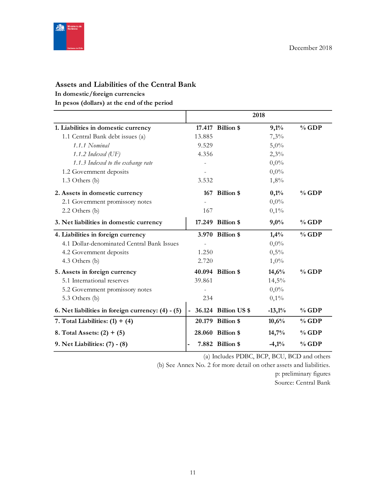

# **Assets and Liabilities of the Central Bank**

**In domestic/foreign currencies**

**In pesos (dollars) at the end of the period**

|                                                   |        |                      | 2018     |          |
|---------------------------------------------------|--------|----------------------|----------|----------|
| 1. Liabilities in domestic currency               |        | 17.417 Billion \$    | 9,1%     | $%$ GDP  |
| 1.1 Central Bank debt issues (a)                  | 13.885 |                      | 7,3%     |          |
| 1.1.1 Nominal                                     | 9.529  |                      | 5,0%     |          |
| 1.1.2 Indexed $(\mathrm{UF})$                     | 4.356  |                      | 2,3%     |          |
| 1.1.3 Indexed to the exchange rate                |        |                      | $0,0\%$  |          |
| 1.2 Government deposits                           |        |                      | $0,0\%$  |          |
| 1.3 Others (b)                                    | 3.532  |                      | 1,8%     |          |
| 2. Assets in domestic currency                    |        | 167 Billion \$       | 0,1%     | $%$ GDP  |
| 2.1 Government promissory notes                   |        |                      | $0,0\%$  |          |
| 2.2 Others (b)                                    | 167    |                      | 0,1%     |          |
| 3. Net liabilities in domestic currency           |        | 17.249 Billion \$    | 9,0%     | $%$ GDP  |
| 4. Liabilities in foreign currency                |        | 3.970 Billion \$     | 1,4%     | $%$ GDP  |
| 4.1 Dollar-denominated Central Bank Issues        |        |                      | $0,0\%$  |          |
| 4.2 Government deposits                           | 1.250  |                      | 0,5%     |          |
| 4.3 Others (b)                                    | 2.720  |                      | $1,0\%$  |          |
| 5. Assets in foreign currency                     | 40.094 | <b>Billion</b> \$    | 14,6%    | $\%$ GDP |
| 5.1 International reserves                        | 39.861 |                      | 14,5%    |          |
| 5.2 Government promissory notes                   |        |                      | $0,0\%$  |          |
| 5.3 Others (b)                                    | 234    |                      | 0,1%     |          |
| 6. Net liabilities in foreign currency: (4) - (5) |        | 36.124 Billion US \$ | $-13,1%$ | $%$ GDP  |
| 7. Total Liabilities: $(1) + (4)$                 |        | 20.179 Billion \$    | 10,6%    | $%$ GDP  |
| 8. Total Assets: $(2) + (5)$                      |        | 28.060 Billion \$    | 14,7%    | $%$ GDP  |
| 9. Net Liabilities: (7) - (8)                     |        | 7.882 Billion \$     | $-4,1%$  | $%$ GDP  |

(a) Includes PDBC, BCP, BCU, BCD and others

(b) See Annex No. 2 for more detail on other assets and liabilities.

p: preliminary figures Source: Central Bank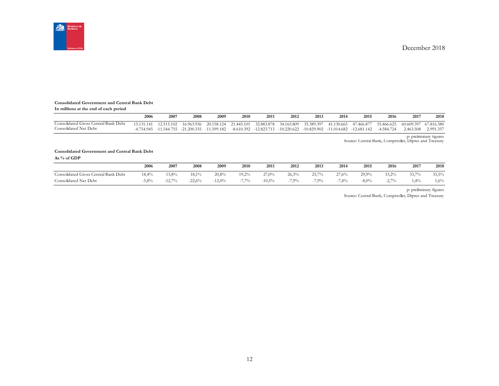

#### **Consolidated Government and Central Bank Debt**

**In millions at the end of each period**

|                                      | 2006       | 2007                        | 2008       | 2009        | 2010       | 2011                       | 2012          | 2013        | 2014        | 2015          | 2016       | 2017       | 2018       |
|--------------------------------------|------------|-----------------------------|------------|-------------|------------|----------------------------|---------------|-------------|-------------|---------------|------------|------------|------------|
| Consolidated Gross Central Bank Debt | 15.131.141 | 12.515.102                  | 16.963.936 | 20.158.124  | 21.445.101 | 32.883.878                 | 34.165.809    | 35.389.397  | 41.130.665  | 47.466.877    | 55.466.625 | 60.609.397 | 67.816.380 |
| Consolidated Net Debt                | 4.754.945  | $-11.544.755$ $-21.200.335$ |            | -11.599.182 |            | $-8.610.392$ $-12.823.713$ | $-10.220.622$ | -10.829.902 | -11.014.682 | $-12.681.142$ | -4.584.724 | 2.463.508  | 2.991.357  |

p: preliminary figures Source: Central Bank, Comptroller, Dipres and Treasury

# **Consolidated Government and Central Bank Debt**

**As % of GDP**

|                                           | 2006  | 2007                   | 2008           | 2009      | 2010                           | 2011     | 2012  | 2013  | 2014  | 2015    | 2016            | 2017           | 2018    |
|-------------------------------------------|-------|------------------------|----------------|-----------|--------------------------------|----------|-------|-------|-------|---------|-----------------|----------------|---------|
| Central Bank Debt<br>Consolidated Gross ( | 18,4% | 3,8%                   | 18.1%          | 20.8%     | 19,2%                          | $27,0\%$ | 26.3% | 25,7% | 27.6% | 29.9%   | 33,2%           | 33.70%<br>JJ,1 | 35,5%   |
| Consolidated Net<br>Debt                  | 5,8%  | 1270/6<br>$-1\angle$ . | 22.6%<br>$-LL$ | $-12,0\%$ | $77\%$<br>$-1$ , $\frac{1}{2}$ | $-10,5%$ | 7,9%  | 7,9%  | 7,4%  | $-8,0%$ | $2.7\%$<br>$-L$ | .4%            | $1,6\%$ |

p: preliminary figures

Source: Central Bank, Comptroller, Dipres and Treasury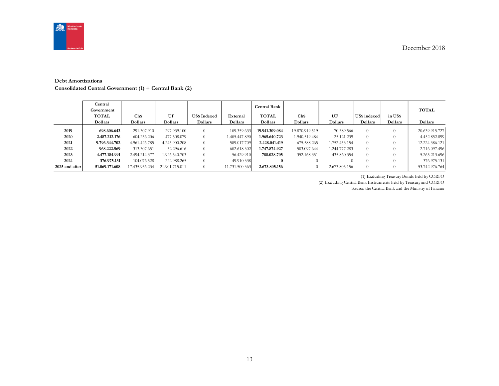

#### **Debt Amortizations**

**Consolidated Central Government (1) + Central Bank (2)**

|                | Central<br>Government<br><b>TOTAL</b><br>Dollars | Ch\$<br>Dollars | UF<br>Dollars  | <b>US\$ Indexed</b><br>Dollars | External<br>Dollars | <b>Central Bank</b><br><b>TOTAL</b><br>Dollars | Ch\$<br>Dollars | UF<br>Dollars | US\$ indexed<br>Dollars | in US\$<br>Dollars | <b>TOTAL</b><br>Dollars |
|----------------|--------------------------------------------------|-----------------|----------------|--------------------------------|---------------------|------------------------------------------------|-----------------|---------------|-------------------------|--------------------|-------------------------|
| 2019           | 698.606.643                                      | 291.307.910     | 297.939.100    | $\Omega$                       | 109.359.633         | 19.941.309.084                                 | 19.870.919.519  | 70.389.566    | $\Omega$                |                    | 20.639.915.727          |
| 2020           | 2.487.212.176                                    | 604.256.206     | 477.508.079    | $\Omega$                       | 1.405.447.890       | 1.965.640.723                                  | 1.940.519.484   | 25.121.239    | $\theta$                |                    | 4.452.852.899           |
| 2021           | 9.796.344.702                                    | 4.961.426.785   | 4.245.900.208  | $\Omega$                       | 589.017.709         | 2.428.041.419                                  | 675.588.265     | 1.752.453.154 | $\Omega$                |                    | 12.224.386.121          |
| 2022           | 968.222.569                                      | 313.307.651     | 52.296.616     | $\Omega$                       | 602.618.302         | 1.747.874.927                                  | 503.097.644     | 1.244.777.283 | $\Omega$                |                    | 2.716.097.496           |
| 2023           | 4.477.184.991                                    | 2.494.214.377   | 1.926.540.703  | $\Omega$                       | 56.429.910          | 788.028.705                                    | 352.168.351     | 435.860.354   | $\Omega$                |                    | 5.265.213.696           |
| 2024           | 376.975.131                                      | 104.076.528     | 222.988.265    | $\Omega$                       | 49.910.338          | $\bf{0}$                                       | $\Omega$        |               | $\Omega$                |                    | 376.975.131             |
| 2025 and after | 51.069.171.608                                   | 17.435.956.234  | 21.901.715.011 | $\Omega$                       | 11.731.500.363      | 2.673.805.156                                  | $\theta$        | 2.673.805.156 | $\Omega$                | 0                  | 53.742.976.764          |

(1) Excluding Treasury Bonds held by CORFO

(2) Excluding Central Bank Instruments held by Treasury and CORFO

Source: the Central Bank and the Ministry of Finance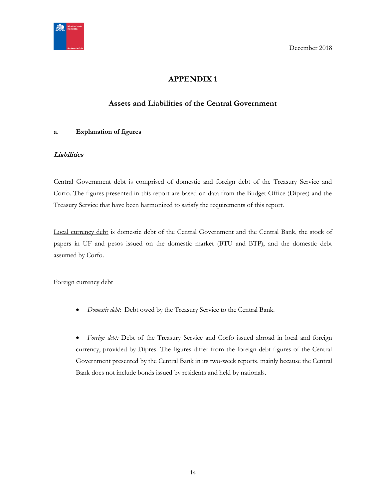<span id="page-13-0"></span>

# **APPENDIX 1**

# **Assets and Liabilities of the Central Government**

## <span id="page-13-1"></span>**a. Explanation of figures**

## **Liabilities**

Central Government debt is comprised of domestic and foreign debt of the Treasury Service and Corfo. The figures presented in this report are based on data from the Budget Office (Dipres) and the Treasury Service that have been harmonized to satisfy the requirements of this report.

Local currency debt is domestic debt of the Central Government and the Central Bank, the stock of papers in UF and pesos issued on the domestic market (BTU and BTP), and the domestic debt assumed by Corfo.

## Foreign currency debt

*Domestic debt*: Debt owed by the Treasury Service to the Central Bank.

 *Foreign debt:* Debt of the Treasury Service and Corfo issued abroad in local and foreign currency, provided by Dipres. The figures differ from the foreign debt figures of the Central Government presented by the Central Bank in its two-week reports, mainly because the Central Bank does not include bonds issued by residents and held by nationals.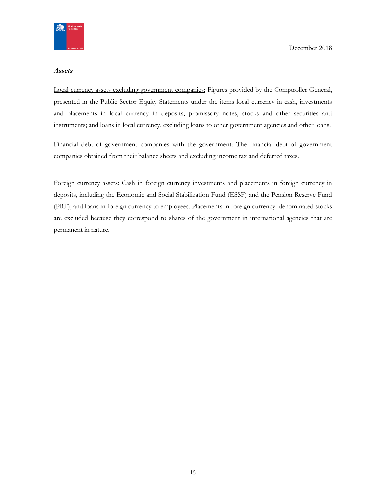

#### **Assets**

Local currency assets excluding government companies: Figures provided by the Comptroller General, presented in the Public Sector Equity Statements under the items local currency in cash, investments and placements in local currency in deposits, promissory notes, stocks and other securities and instruments; and loans in local currency, excluding loans to other government agencies and other loans.

Financial debt of government companies with the government: The financial debt of government companies obtained from their balance sheets and excluding income tax and deferred taxes.

Foreign currency assets: Cash in foreign currency investments and placements in foreign currency in deposits, including the Economic and Social Stabilization Fund (ESSF) and the Pension Reserve Fund (PRF); and loans in foreign currency to employees. Placements in foreign currency–denominated stocks are excluded because they correspond to shares of the government in international agencies that are permanent in nature.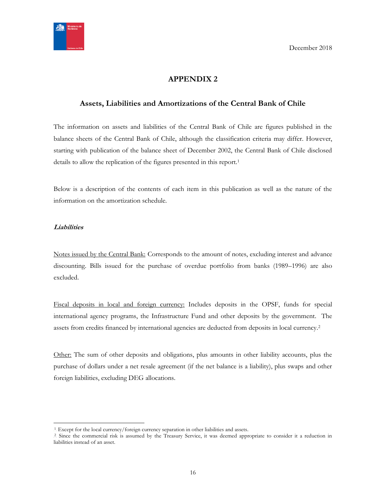

# **APPENDIX 2**

# <span id="page-15-1"></span><span id="page-15-0"></span>**Assets, Liabilities and Amortizations of the Central Bank of Chile**

The information on assets and liabilities of the Central Bank of Chile are figures published in the balance sheets of the Central Bank of Chile, although the classification criteria may differ. However, starting with publication of the balance sheet of December 2002, the Central Bank of Chile disclosed details to allow the replication of the figures presented in this report.<sup>1</sup>

Below is a description of the contents of each item in this publication as well as the nature of the information on the amortization schedule.

#### **Liabilities**

 $\overline{a}$ 

Notes issued by the Central Bank: Corresponds to the amount of notes, excluding interest and advance discounting. Bills issued for the purchase of overdue portfolio from banks (1989–1996) are also excluded.

Fiscal deposits in local and foreign currency: Includes deposits in the OPSF, funds for special international agency programs, the Infrastructure Fund and other deposits by the government. The assets from credits financed by international agencies are deducted from deposits in local currency.<sup>2</sup>

Other: The sum of other deposits and obligations, plus amounts in other liability accounts, plus the purchase of dollars under a net resale agreement (if the net balance is a liability), plus swaps and other foreign liabilities, excluding DEG allocations.

<sup>&</sup>lt;sup>1</sup>. Except for the local currency/foreign currency separation in other liabilities and assets.

<sup>&</sup>lt;sup>2</sup> Since the commercial risk is assumed by the Treasury Service, it was deemed appropriate to consider it a reduction in liabilities instead of an asset.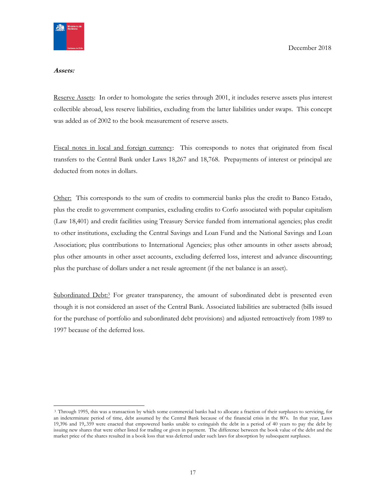

#### **Assets:**

Reserve Assets: In order to homologate the series through 2001, it includes reserve assets plus interest collectible abroad, less reserve liabilities, excluding from the latter liabilities under swaps. This concept was added as of 2002 to the book measurement of reserve assets.

Fiscal notes in local and foreign currency: This corresponds to notes that originated from fiscal transfers to the Central Bank under Laws 18,267 and 18,768. Prepayments of interest or principal are deducted from notes in dollars.

Other: This corresponds to the sum of credits to commercial banks plus the credit to Banco Estado, plus the credit to government companies, excluding credits to Corfo associated with popular capitalism (Law 18,401) and credit facilities using Treasury Service funded from international agencies; plus credit to other institutions, excluding the Central Savings and Loan Fund and the National Savings and Loan Association; plus contributions to International Agencies; plus other amounts in other assets abroad; plus other amounts in other asset accounts, excluding deferred loss, interest and advance discounting; plus the purchase of dollars under a net resale agreement (if the net balance is an asset).

Subordinated Debt:<sup>3</sup> For greater transparency, the amount of subordinated debt is presented even though it is not considered an asset of the Central Bank. Associated liabilities are subtracted (bills issued for the purchase of portfolio and subordinated debt provisions) and adjusted retroactively from 1989 to 1997 because of the deferred loss.

<sup>3</sup> Through 1995, this was a transaction by which some commercial banks had to allocate a fraction of their surpluses to servicing, for an indeterminate period of time, debt assumed by the Central Bank because of the financial crisis in the 80's. In that year, Laws 19,396 and 19,.359 were enacted that empowered banks unable to extinguish the debt in a period of 40 years to pay the debt by issuing new shares that were either listed for trading or given in payment. The difference between the book value of the debt and the market price of the shares resulted in a book loss that was deferred under such laws for absorption by subsequent surpluses.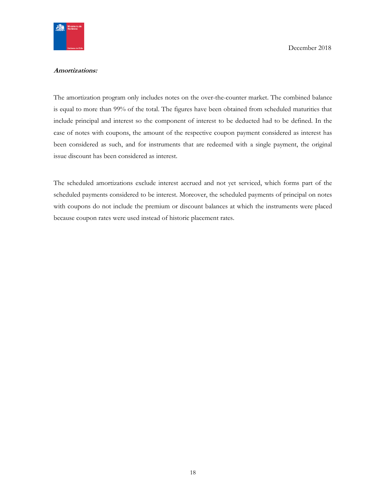

#### **Amortizations:**

The amortization program only includes notes on the over-the-counter market. The combined balance is equal to more than 99% of the total. The figures have been obtained from scheduled maturities that include principal and interest so the component of interest to be deducted had to be defined. In the case of notes with coupons, the amount of the respective coupon payment considered as interest has been considered as such, and for instruments that are redeemed with a single payment, the original issue discount has been considered as interest.

The scheduled amortizations exclude interest accrued and not yet serviced, which forms part of the scheduled payments considered to be interest. Moreover, the scheduled payments of principal on notes with coupons do not include the premium or discount balances at which the instruments were placed because coupon rates were used instead of historic placement rates.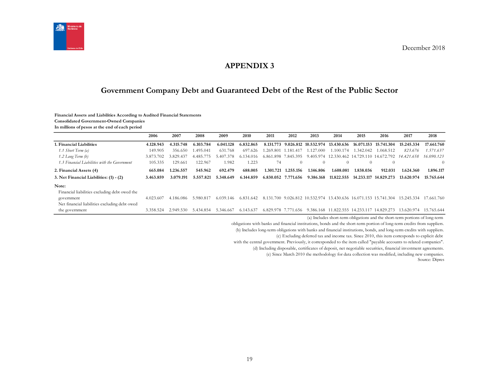

# **APPENDIX 3**

# **Government Company Debt and Guaranteed Debt of the Rest of the Public Sector**

#### **Financial Assets and Liabilities According to Audited Financial Statements**

**Consolidated Government-Owned Companies**

**In millions of pesos at the end of each period**

<span id="page-18-1"></span><span id="page-18-0"></span>

|                                               | 2006      | 2007      | 2008      | 2009      | 2010      | 2011       | 2012                | 2013                                                       | 2014                                       | 2015       | 2016                                                                                                                                | 2017       | 2018       |
|-----------------------------------------------|-----------|-----------|-----------|-----------|-----------|------------|---------------------|------------------------------------------------------------|--------------------------------------------|------------|-------------------------------------------------------------------------------------------------------------------------------------|------------|------------|
| l. Financial Liabilities                      | 4.128.943 | 4.315.748 | 6.103.784 | 6.041.128 | 6.832.865 | 8.131.773  | 9.026.812           | 10.532.974                                                 | 13.430.636                                 | 16.071.153 | 15.741.304                                                                                                                          | 15.245.334 | 17.661.760 |
| 1.1 Short Term (a)                            | 149.905   | 356.650   | 1.495.041 | 631.768   | 697.626   | .269.801 1 | .181.417            | .127.000                                                   | 1.100.174                                  | 1.342.042  | 1.068.512                                                                                                                           | 823.676    | 1.571.637  |
| $1.2$ Long Term $(b)$                         | 3.873.702 | 3.829.437 | 4.485.775 | 5.407.378 | 6.134.016 | 6.861      | .898 7.845.395      |                                                            |                                            |            | 9.405.974 12.330.462 14.729.110 14.672.792                                                                                          | 14.421.658 | 16.090.123 |
| 1.3 Financial Liabilities with the Government | 105.335   | 129.661   | 122.967   | 1.982     | 1.223     | 74         | $\Omega$            | $\Omega$                                                   | $\Omega$                                   | $\Omega$   | $\Omega$                                                                                                                            |            | $\Omega$   |
| 2. Financial Assets (4)                       | 665.084   | 1.236.557 | 545.962   | 692.479   | 688.005   | 1.301.721  | 1.255.156           | 1.146.806                                                  | 1.608.081                                  | 1.838.036  | 912.031                                                                                                                             | 1.624.360  | 1.896.117  |
| 3. Net Financial Liabilities: (1) - (2)       | 3.463.859 | 3.079.191 | 5.557.821 | 5.348.649 | 6.144.859 | 6.830.052  | 7.771.656           | 9.386.168                                                  | 11.822.555                                 | 14.233.117 | 14.829.273                                                                                                                          | 13.620.974 | 15.765.644 |
| Note:                                         |           |           |           |           |           |            |                     |                                                            |                                            |            |                                                                                                                                     |            |            |
| Financial liabilities excluding debt owed the |           |           |           |           |           |            |                     |                                                            |                                            |            |                                                                                                                                     |            |            |
| government                                    | 4.023.607 | 4.186.086 | 5.980.817 | 6.039.146 | 6.831.642 | 8.131      |                     | .700 9.026.812 10.532.974 13.430.636 16.071.153 15.741.304 |                                            |            |                                                                                                                                     | 15.245.334 | 17.661.760 |
| Net financial liabilities excluding debt owed |           |           |           |           |           |            |                     |                                                            |                                            |            |                                                                                                                                     |            |            |
| the government                                | 3.358.524 | 2.949.530 | 5.434.854 | 5.346.667 | 6.143.637 |            | 6.829.978 7.771.656 |                                                            | 9.386.168 11.822.555 14.233.117 14.829.273 |            |                                                                                                                                     | 13.620.974 | 15.765.644 |
|                                               |           |           |           |           |           |            |                     |                                                            |                                            |            | $\mathbf{1}$ and $\mathbf{1}$ and $\mathbf{1}$ and $\mathbf{1}$ and $\mathbf{1}$ and $\mathbf{1}$ and $\mathbf{1}$ and $\mathbf{1}$ |            |            |

(a) Includes short-term obligations and the short-term portions of long-term

obligations with banks and financial institutions, bonds and the short-term portion of long-term credits from suppliers.

(b) Includes long-term obligations with banks and financial institutions, bonds, and long-term credits with suppliers.

(c) Excluding deferred tax and income tax. Since 2010, this item corresponds to explicit debt

with the central government. Previously, it corresponded to the item called "payable accounts to related companies".

(d) Including disposable, certificates of deposit, net negotiable securities, financial investment agreements.

(e) Since March 2010 the methodology for data collection was modified, including new companies.

Source: Dipres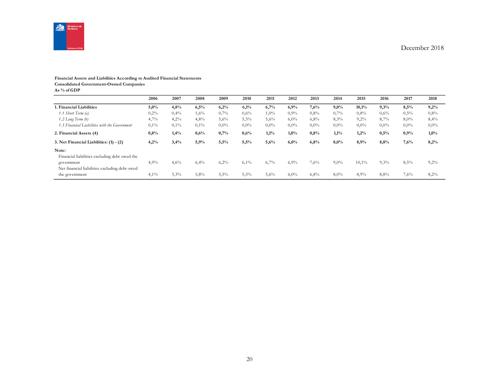

#### **Financial Assets and Liabilities According to Audited Financial Statements**

**Consolidated Government-Owned Companies**

**As % of GDP**

|                                                             | 2006 | 2007 | 2008 | 2009    | 2010    | 2011    | 2012    | 2013    | 2014    | 2015    | 2016    | 2017    | 2018    |
|-------------------------------------------------------------|------|------|------|---------|---------|---------|---------|---------|---------|---------|---------|---------|---------|
| 1. Financial Liabilities                                    | 5,0% | 4,8% | 6,5% | 6,2%    | 6,1%    | 6,7%    | 6,9%    | 7,6%    | 9,0%    | 10,1%   | 9,3%    | 8,5%    | 9,2%    |
| 1.1 Short Term (a)                                          | 0,2% | 0,4% | 1,6% | 0,7%    | $0.6\%$ | $1,0\%$ | 0.9%    | $0.8\%$ | 0,7%    | $0.8\%$ | 0.6%    | $0.5\%$ | 0,8%    |
| $1.2$ Long Term $(b)$                                       | 4,7% | 4,2% | 4,8% | 5,6%    | 5,5%    | 5,6%    | 6,0%    | 6,8%    | 8,3%    | 9,2%    | 8,7%    | $8,0\%$ | 8,4%    |
| 1.3 Financial Liabilities with the Government               | 0,1% | 0,1% | 0,1% | $0.0\%$ | $0.0\%$ | $0.0\%$ | $0.0\%$ | $0.0\%$ | $0.0\%$ | $0.0\%$ | $0.0\%$ | $0.0\%$ | $0,0\%$ |
| 2. Financial Assets (4)                                     | 0,8% | 1,4% | 0,6% | 0,7%    | 0,6%    | 1,1%    | 1,0%    | 0.8%    | 1,1%    | 1,2%    | 0,5%    | 0,9%    | 1,0%    |
| 3. Net Financial Liabilities: (1) - (2)                     | 4,2% | 3,4% | 5,9% | 5,5%    | 5,5%    | 5,6%    | 6,0%    | 6,8%    | 8,0%    | 8,9%    | 8,8%    | 7.6%    | 8,2%    |
| Note:<br>Financial liabilities excluding debt owed the      |      |      |      |         |         |         |         |         |         |         |         |         |         |
| government<br>Net financial liabilities excluding debt owed | 4,9% | 4,6% | 6,4% | 6,2%    | $6,1\%$ | 6,7%    | 6,9%    | 7,6%    | $9,0\%$ | 10,1%   | 9,3%    | 8,5%    | 9,2%    |
| the government                                              | 4,1% | 3,3% | 5,8% | 5,5%    | 5,5%    | 5,6%    | 6,0%    | 6,8%    | 8,0%    | 8,9%    | 8,8%    | 7,6%    | 8,2%    |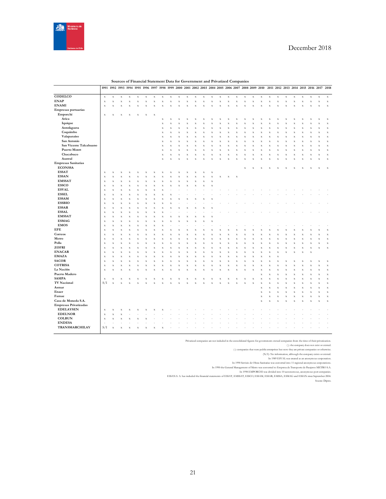

|                              | 1991                      |             | 1992 1993 1994 1995 1996 1997 1998 1999 2000 2001 2002 2003 2004 2005 2006 2007 2008 2009 2010 |                    |                    |             |             |             |             |             |             |             |             |                         |                           |             |             |             |             |                    |                    |             |             |             |             |                    |                           | 2011 2012 2013 2014 2015 2016 2017 2018 |
|------------------------------|---------------------------|-------------|------------------------------------------------------------------------------------------------|--------------------|--------------------|-------------|-------------|-------------|-------------|-------------|-------------|-------------|-------------|-------------------------|---------------------------|-------------|-------------|-------------|-------------|--------------------|--------------------|-------------|-------------|-------------|-------------|--------------------|---------------------------|-----------------------------------------|
| CODELCO                      |                           |             |                                                                                                |                    |                    |             |             |             |             |             |             |             |             |                         |                           |             |             |             |             |                    |                    |             |             |             |             |                    |                           |                                         |
|                              | $\mathbf x$               | $\mathbf x$ | $\mathbf x$                                                                                    | $\mathbf X$        | $\bf{X}$           | $\mathbf x$ | $\mathbf x$ | $\mathbf x$ | $\mathbf X$ | $\mathbf x$ | $\mathbf x$ | $\mathbf x$ | $\mathbf x$ | $\mathbf x$             | $\mathbf x$               | $\mathbf X$ | $\mathbf x$ | $\mathbf x$ | $\mathbf x$ | $\mathbf X$        | $\mathbf x$        | $\mathbf x$ | $\mathbf x$ | $\mathbf X$ | $\mathbf x$ | $\mathbf x$        | $\mathbf x$               | $\mathbf x$                             |
| <b>ENAP</b>                  | $\mathbf x$               | $\mathbf X$ | X                                                                                              | $\mathbf x$        | $\bf x$            | $\bar{x}$   | $\mathbf x$ | X           | $\mathbf X$ | $\bar{x}$   | $\bf x$     | $\mathbf x$ | $\bf{X}$    | $\mathbf x$             | $\bar{x}$                 | $\bar{x}$   | $\mathbf X$ | $\bf{X}$    | $\mathbf x$ | $\mathbf x$        | $\mathbf x$        | $\mathbf x$ | $\mathbf x$ | $\mathbf X$ | $\bar{x}$   | $\mathbf x$        | $\mathbf x$               | $\mathbf x$                             |
| <b>ENAMI</b>                 | $\bf x$                   | $\bf x$     | x                                                                                              | $\bf x$            | X                  | x           | $\bf x$     | x           | $\bar{x}$   | $\bar{x}$   | $\bar{x}$   | $\bf x$     | v           | $\bar{x}$               | $\boldsymbol{\mathbf{x}}$ | $\bar{x}$   | $\bar{x}$   | X           | $\bar{x}$   | $\bar{x}$          | $\bar{x}$          | $\bf x$     | X           | $\bar{x}$   | $\bar{x}$   | $\bar{x}$          | $\mathbf x$               | $\mathbf x$                             |
| Empresas portuarias          |                           |             |                                                                                                |                    |                    |             |             |             |             |             |             |             |             |                         |                           |             |             |             |             |                    |                    |             |             |             |             |                    |                           |                                         |
| Emporchi                     | $\boldsymbol{\mathrm{x}}$ | X           | x                                                                                              | X                  | X                  | $\bf x$     | $\bf x$     |             |             |             |             |             |             |                         |                           |             |             |             |             |                    |                    |             |             |             |             |                    |                           |                                         |
| Arica                        |                           |             |                                                                                                |                    |                    |             |             | $\mathbf x$ | X           | X           | X           | $\bf x$     | X           | X                       | Χ                         | X           | $\mathbf x$ | $\bf x$     | X           | X                  | X                  | X           | х           | X           | Χ           | X                  | $\mathbf x$               | $\mathbf x$                             |
| Iquique                      |                           |             |                                                                                                |                    |                    |             |             | X           | $\bar{X}$   | $\bar{x}$   | $\bar{x}$   | $\bf x$     | X           | X                       | $\bar{\mathbf{x}}$        | x           | $\mathbf X$ | $\bf x$     | $\mathbf x$ | $\bar{x}$          | $\bar{x}$          | $\bf x$     | X           | X           | $\bar{x}$   | $\bar{x}$          | $\mathbf x$               | $\mathbf x$                             |
| Antofagasta                  |                           |             |                                                                                                |                    |                    |             |             | X           | $\mathbf X$ | $\bar{x}$   | $\bf{X}$    | $\mathbf x$ | X           | $\mathbf x$             | $\bar{\mathbf{x}}$        | $\bf x$     | $\mathbf X$ | $\bf x$     | $\mathbf X$ | X                  | $\bar{\mathbf{x}}$ | $\mathbf x$ | X           | $\mathbf X$ | $\bf x$     | $\bf x$            | $\mathbf x$               | $\mathbf x$                             |
| Coquimbo                     |                           |             |                                                                                                |                    |                    |             |             | X           | $\bf{X}$    | $\bar{x}$   | $\bar{x}$   | $\bf x$     | $\bf x$     | X                       | $\bar{\mathbf{x}}$        | x           | $\mathbf X$ | $\bf x$     | $\bf x$     | $\bar{x}$          | $\bar{x}$          | $\mathbf x$ | $\bar{X}$   | $\bar{x}$   | $\bar{x}$   | $\bar{x}$          | $\mathbf x$               | $\mathbf x$                             |
| Valaparaíso                  |                           |             |                                                                                                |                    |                    |             |             | x           | $\bf x$     | $\bar{x}$   | $\bf x$     | $\bf x$     | X           | $\bf x$                 | $\boldsymbol{\mathbf{x}}$ | $\bar{x}$   | $\bf x$     | X           | $\bf x$     | $\bar{x}$          | $\bar{x}$          | $\bf x$     | X           | $\bar{x}$   | $\bar{x}$   | $\bf{x}$           | $\bf x$                   | $\bf x$                                 |
| San Antonio                  |                           |             |                                                                                                |                    |                    |             |             | X           | $\mathbf x$ | X           | $\mathbf X$ | $\mathbf x$ | X           | X                       | X                         | X           | $\mathbf x$ | $\bf x$     | $\mathbf x$ | X                  | $\mathbf x$        | $\mathbf x$ | X           | X           | X           | $\mathbf x$        | $\mathbf x$               | $\mathbf x$                             |
| San Vicente Talcahuano       |                           |             |                                                                                                |                    |                    |             |             | $\mathbf x$ | $\bf{X}$    | $\bf x$     | $\bf x$     | $\mathbf X$ | X           | X                       | X                         | $\bf x$     | $\mathbf X$ | $\bf{X}$    | $\mathbf x$ | $\bar{\mathbf{x}}$ | $\bar{x}$          | $\mathbf x$ | X           | $\bf{X}$    | $\bf x$     | $\bf x$            | $\mathbf X$               | $\mathbf x$                             |
| <b>Puerto Montt</b>          |                           |             |                                                                                                |                    |                    |             |             | X           | $\bf x$     | X           | $\bf{X}$    | $\mathbf x$ | X           | X                       | X                         | X           | $\mathbf X$ | $\bf x$     | $\bf{X}$    | X                  | $\bf x$            | $\mathbf x$ | X           | X           | X           | $\bf x$            | $\mathbf x$               | $\mathbf x$                             |
| Chacabuco                    |                           |             |                                                                                                |                    |                    |             |             | X           | $\mathbf X$ | $\bar{x}$   | $\bf x$     | $\mathbf x$ | $\bf x$     | $\mathbf x$             | $\bf x$                   | $\bar{x}$   | $\mathbf X$ | $\bf x$     | $\mathbf x$ | $\bar{x}$          | $\bar{x}$          | $\mathbf x$ | $\bar{X}$   | $\mathbf X$ | $\bar{x}$   | $\bar{x}$          | $\mathbf x$               | $\mathbf x$                             |
| Austral                      |                           |             |                                                                                                |                    |                    |             |             | $\bf x$     | $\bf x$     | $\bar{x}$   | X           | $\mathbf x$ | X           | $\mathbf x$             | $\bar{\mathbf{x}}$        | x           | $\bf x$     | X           | $\mathbf x$ | $\bar{x}$          | $\bar{X}$          | $\mathbf x$ | X           | $\mathbf x$ | $\bar{x}$   | $\bar{X}$          | $\mathbf x$               | $\mathbf x$                             |
| <b>Empresas Sanitarias</b>   |                           |             |                                                                                                |                    |                    |             |             |             |             |             |             |             |             |                         |                           |             |             |             |             |                    |                    |             |             |             |             |                    |                           |                                         |
| <b>ECONSSA</b>               |                           |             |                                                                                                |                    |                    |             |             |             |             |             |             |             |             |                         |                           |             |             | $\mathbf x$ | $\mathbf x$ | X                  | X                  | х           | х           | X           |             | X                  | $\boldsymbol{\mathrm{X}}$ | $\mathbf x$                             |
| <b>ESSAT</b>                 | $\mathbf x$               | $\mathbf x$ | X                                                                                              | X                  | Х                  | X           | X           | X           | X           | X           | X           | $\mathbf x$ | X           | $\mathbf x$             |                           |             |             |             |             |                    |                    |             |             |             |             |                    |                           |                                         |
| <b>ESSAN</b>                 | $\mathbf x$               | $\mathbf x$ | X                                                                                              | $\bf{X}$           | $\bar{\mathbf{x}}$ | $\bar{x}$   | $\mathbf x$ | х           | $\bar{x}$   | $\bar{x}$   | x           | $\mathbf x$ | X           | $\mathbf x$             | $\bf x$                   | $\bf{X}$    | $\mathbf X$ |             |             |                    |                    |             |             |             |             |                    |                           |                                         |
| <b>EMSSAT</b>                | $\mathbf x$               | $\mathbf x$ | $\bf x$                                                                                        | $\mathbf x$        | $\bar{X}$          | $\bar{X}$   | $\mathbf x$ | $\bf x$     | $\bar{x}$   | $\bar{x}$   | $\bar{x}$   | $\mathbf X$ | $\bf x$     | $\mathbf x$             |                           |             |             |             |             |                    |                    |             |             |             |             |                    |                           |                                         |
| <b>ESSCO</b>                 | $\mathbf x$               | $\mathbf x$ | X                                                                                              | $\bf{X}$           | $\bar{x}$          | $\bar{x}$   | $\bf x$     | $\bf x$     | $\bf x$     | $\bar{x}$   | X           | $\mathbf x$ | $\mathbf x$ | $\mathbf x$             |                           |             |             |             |             |                    |                    |             |             |             |             |                    |                           |                                         |
| <b>ESVAL</b>                 | $\mathbf x$               | $\mathbf x$ | X                                                                                              | $\bf x$            | X                  | $\bar{x}$   | $\mathbf x$ | X           |             |             |             |             |             |                         |                           |             |             |             |             |                    |                    |             |             |             |             |                    |                           |                                         |
| <b>ESSEL</b>                 | $\mathbf x$               | $\mathbf x$ | X                                                                                              | X                  | $\bf x$            | X           | $\mathbf x$ | x           | $\bf x$     |             |             |             |             |                         |                           |             |             |             |             |                    |                    |             |             |             |             |                    |                           |                                         |
| <b>ESSAM</b>                 | $\mathbf x$               | $\mathbf X$ | X                                                                                              | $\bf{X}$           | $\bar{\mathbf{x}}$ | X           | $\mathbf x$ | X           | $\bf x$     |             |             |             |             |                         |                           |             |             |             |             |                    |                    |             |             |             |             |                    |                           |                                         |
| <b>ESSBIO</b>                | $\mathbf x$               | $\mathbf x$ | X                                                                                              | $\bf x$            | $\bar{x}$          | $\bar{X}$   | $\mathbf x$ | X           | X           |             |             |             |             |                         |                           |             |             |             |             |                    |                    |             |             |             |             |                    |                           |                                         |
| <b>ESSAR</b>                 | $\mathbf x$               | $\mathbf x$ | X                                                                                              | $\bf x$            | $\bar{x}$          | $\bf x$     | $\mathbf x$ | X           | $\bar{x}$   | X           | x           | $\bf x$     |             | $\overline{\mathbf{x}}$ |                           |             |             |             |             |                    |                    |             |             |             |             |                    |                           |                                         |
| <b>ESSAL</b>                 | $\mathbf x$               | $\mathbf x$ | X                                                                                              | $\bf x$            | $\bar{x}$          | $\bar{x}$   | $\bf x$     | X           |             |             |             |             |             |                         |                           |             |             |             |             |                    |                    |             |             |             |             |                    |                           |                                         |
| <b>EMSSAT</b>                | $\mathbf x$               | $\mathbf x$ | X                                                                                              | X                  | X                  | $\bf x$     | $\mathbf x$ | x           | X           | X           | X           | $\bf x$     | X           | x                       |                           |             |             |             |             |                    |                    |             |             |             |             |                    |                           |                                         |
| <b>ESMAG</b>                 | $\mathbf x$               | $\mathbf x$ | X                                                                                              | $\bar{\mathbf{x}}$ | $\bar{\mathbf{x}}$ | X           | $\bf x$     |             | X           | X           | x           | $\bar{X}$   |             | X                       |                           |             |             |             |             |                    |                    |             |             |             |             |                    |                           |                                         |
| <b>EMOS</b>                  | $\mathbf x$               | $\bf x$     | х                                                                                              | $\bf x$            | X                  | X           | $\bf x$     |             |             |             |             |             |             |                         |                           |             |             |             |             |                    |                    |             |             |             |             |                    |                           |                                         |
| <b>EFE</b>                   | $\mathbf x$               | $\mathbf x$ | X                                                                                              | $\bf{X}$           | $\bar{\mathbf{x}}$ | X           | $\mathbf x$ | X           | $\bf x$     | X           | x           | $\bf x$     |             | X                       |                           | X           | $\bf x$     |             | X           | X                  | X                  | $\bf x$     |             | X           |             | $\bar{\mathbf{x}}$ | $\mathbf x$               | X                                       |
| Correos                      | $\mathbf x$               | $\mathbf x$ | X                                                                                              | $\bf x$            | $\bar{x}$          | $\bar{x}$   | $\mathbf x$ | X           | $\bf x$     | $\bar{x}$   | X           | $\bf x$     | X           | X                       | $\bar{\mathbf{x}}$        | $\bar{x}$   | $\mathbf X$ | $\bf x$     | $\mathbf x$ | $\bar{x}$          | $\bar{x}$          | $\mathbf x$ | X           | $\bar{x}$   | X           | $\bar{x}$          | $\mathbf X$               | $\mathbf x$                             |
| Metro                        | $\boldsymbol{\mathrm{x}}$ | $\bf x$     | x                                                                                              | X                  | X                  | X           | $\bf x$     | x           | X           | x           | x           | X           | X           | X                       | X                         | x           | X           | X           | X           | X                  | X                  | X           | X           | x           | x           | X                  | $\boldsymbol{\mathrm{X}}$ | $\mathbf x$                             |
| Polla                        | $\mathbf x$               | $\mathbf x$ | X                                                                                              | X                  | $\bar{x}$          | $\bar{x}$   | $\mathbf x$ |             | $\bar{x}$   | X           | x           | $\mathbf x$ | X           | X                       | X                         | x           | $\mathbf x$ | X           | X           | X                  | $\bar{x}$          | $\bar{X}$   |             | X           | X           | $\bar{x}$          | $\mathbf x$               | $\mathbf x$                             |
| ZOFRI                        | $\mathbf x$               | $\bf x$     | х                                                                                              | X                  | X                  | X           | $\bf x$     | X           | $\bf x$     | X           | X           | $\bf x$     | X           | X                       | X                         | $\bf x$     | $\bf x$     | $\bf x$     | $\mathbf x$ | X                  | X                  | $\bf x$     | х           | X           | X           | $\bar{X}$          | $\bf x$                   | $\bf x$                                 |
| <b>ENACAR</b>                | $\mathbf x$               | $\mathbf X$ |                                                                                                | $\bar{\mathbf{x}}$ | $\bar{\mathbf{x}}$ | X           | $\bf x$     |             | $\bf x$     | $\bf x$     | X           | $\bf x$     |             | X                       | $\bf x$                   | $\bf x$     | $\bf{X}$    |             | X           | $\bar{\mathbf{x}}$ | X                  | $\mathbf x$ | X           | $\bf x$     | $\bf x$     | $\bf x$            |                           |                                         |
| <b>EMAZA</b>                 | $\mathbf x$               | $\mathbf X$ | X                                                                                              | $\bf{X}$           | $\bar{x}$          | x           | $\bar{x}$   |             | $\bar{X}$   | $\bar{x}$   | x           | $\bar{x}$   | $\bf x$     | X                       | $\bar{\mathbf{x}}$        | x           | $\mathbf X$ | $\bar{x}$   | $\bf x$     | $\bar{x}$          | $\bar{x}$          | $\mathbf x$ |             |             |             |                    |                           |                                         |
| <b>SACOR</b>                 | $\mathbf x$               | $\mathbf x$ | x                                                                                              | $\bf x$            | $\bar{x}$          | $\bar{X}$   | $\mathbf x$ | x           | $\mathbf x$ | $\bar{x}$   | X           | $\mathbf x$ | X           | $\mathbf x$             | $\boldsymbol{\mathbf{x}}$ | $\bar{x}$   | $\mathbf x$ | X           | $\mathbf x$ | $\bar{x}$          | $\bar{X}$          | $\mathbf x$ | X           | X           | x           | $\bf x$            | $\mathbf x$               | $\mathbf x$                             |
| <b>COTRISA</b>               | $\mathbf x$               | $\bf x$     |                                                                                                | $\bar{x}$          | $\bar{x}$          | $\bar{x}$   | $\bf x$     |             | $\bar{x}$   | $\bar{x}$   | X           | $\bf x$     |             | X                       | $\bar{\mathbf{x}}$        | x           | $\bf x$     |             | X           | $\bar{x}$          | $\bar{x}$          | $\bar{X}$   |             |             | X           | $\bar{x}$          | $\mathbf x$               | $\mathbf x$                             |
| La Nación                    | $\boldsymbol{\mathrm{x}}$ | X           | X                                                                                              | X                  | X                  | X           | $\bf x$     |             | X           | X           | X           | $\bf x$     | X           | X                       | X                         | X           | $\bf x$     |             | X           | X                  | X                  | X           | X           | X           | X           | $\bf x$            | $\mathbf x$               | X                                       |
| Puerto Madero                |                           |             |                                                                                                |                    |                    |             |             |             |             |             |             |             |             |                         |                           |             |             |             |             | $\bar{\mathbf{x}}$ | $\bf x$            | $\mathbf x$ | $\bar{X}$   | X           | $\bf x$     | $\bf{X}$           | $\mathbf x$               | $\mathbf x$                             |
| <b>SASIPA</b>                | $\mathbf x$               | $\mathbf X$ | X                                                                                              | X                  | $\bar{x}$          | X           | $\bf x$     |             | $\bf x$     | $\bar{x}$   | $\bar{x}$   | $\bf x$     | X           | X                       | $\bf x$                   | $\bf x$     | $\mathbf X$ | $\bf x$     | $\mathbf X$ | $\bar{\mathbf{x}}$ | $\bar{x}$          | $\bf x$     |             | $\bf x$     | $\bf x$     | $\bar{x}$          | $\mathbf x$               | $\bar{\mathbf{x}}$                      |
| <b>TV Nacional</b>           | S/I                       | $\mathbf x$ | x                                                                                              | $\bf x$            | $\bf{x}$           | $\bar{X}$   | $\bf x$     | x           | $\bar{x}$   | $\bar{x}$   | $\bf x$     | $\bf x$     | X           | $\mathbf x$             | $\bar{\mathbf{x}}$        | $\bf x$     | $\bf x$     | X           | $\bar{x}$   | $\bar{x}$          | $\bar{X}$          | $\bf x$     | X           | $\bf x$     | $\bar{x}$   | $\bf x$            | $\mathbf x$               | $\mathbf x$                             |
| Asmar                        |                           |             |                                                                                                |                    |                    |             |             |             |             |             |             |             |             |                         |                           |             |             |             |             | $\bar{x}$          | $\bar{x}$          | $\mathbf x$ | $\bar{X}$   | $\mathbf X$ | $\bar{x}$   | $\bar{x}$          | $\mathbf x$               | $\bar{x}$                               |
| Enaer                        |                           |             |                                                                                                |                    |                    |             |             |             |             |             |             |             |             |                         |                           |             |             |             |             | $\bf x$            | $\bf x$            | $\mathbf x$ | X           | $\bf x$     | $\bar{x}$   | $\mathbf x$        | $\mathbf x$               | $\mathbf x$                             |
| Famae                        |                           |             |                                                                                                |                    |                    |             |             |             |             |             |             |             |             |                         |                           |             |             |             |             | $\bf{X}$           | $\bf x$            | $\mathbf x$ | X           | $\mathbf x$ | X           | $\mathbf x$        | $\mathbf x$               | $\mathbf x$                             |
| Casa de Moneda S.A.          |                           |             |                                                                                                |                    |                    |             |             |             |             |             |             |             |             |                         |                           |             |             |             |             | $\bar{x}$          | $\bar{x}$          | $\mathbf x$ | X           | $\mathbf X$ | $\bar{x}$   | $\bar{x}$          | $\mathbf x$               | $\mathbf x$                             |
| <b>Empresas Privatizadas</b> |                           |             |                                                                                                |                    |                    |             |             |             |             |             |             |             |             |                         |                           |             |             |             |             |                    |                    |             |             |             |             |                    |                           |                                         |
| <b>EDELAYSEN</b>             | $\mathbf x$               | $\mathbf X$ | X                                                                                              | $\bf{X}$           | X                  | X           | X           |             |             |             |             |             |             |                         |                           |             |             |             |             |                    |                    |             |             |             |             |                    |                           |                                         |
| <b>EDELNOR</b>               | $\mathbf x$               | $\mathbf x$ | x                                                                                              |                    |                    |             |             |             |             |             |             |             |             |                         |                           |             |             |             |             |                    |                    |             |             |             |             |                    |                           |                                         |
| <b>COLBUN</b>                | $\mathbf x$               | $\mathbf x$ | X                                                                                              | X                  | X                  | X           |             |             |             |             |             |             |             |                         |                           |             |             |             |             |                    |                    |             |             |             |             |                    |                           |                                         |
| <b>ENDESA</b>                |                           |             |                                                                                                |                    |                    |             |             |             |             |             |             |             |             |                         |                           |             |             |             |             |                    |                    |             |             |             |             |                    |                           |                                         |
| TRANSMARCHILAY               | S/I                       | $\bf x$     |                                                                                                | X                  |                    |             |             |             |             |             |             |             |             |                         |                           |             |             |             |             |                    |                    |             |             |             |             |                    |                           |                                         |
|                              |                           |             |                                                                                                |                    |                    |             |             |             |             |             |             |             |             |                         |                           |             |             |             |             |                    |                    |             |             |             |             |                    |                           |                                         |

**Sources of Financial Statement Data for Government and Privatized Companies**

Privatized companies are not included in the consolidated figures for government-owned companies from the time of their privatization.

( ): the company does not exist or existed.

(-): companies that were public enterprises but now they are private companies or otherwise. (N/I): No information, although the company exists or existed.

In 1999 EeVAL was exated as an anonymous comporation.<br>In 1990 the General Management of Metro was converted into 11 regional anonymous comporations.<br>In 1990 the General Management of Metro was converted to Empress de Trans

Source: Dipres.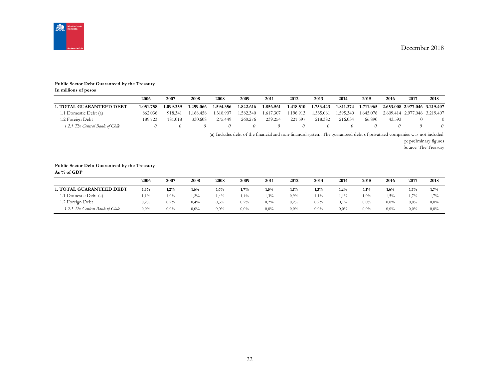

#### **Public Sector Debt Guaranteed by the Treasury**

**In millions of pesos**

|                                 | 2006      | 2007      | 2008      | 2008      | 2009      | 2011      | 2012      | 2013      | 2014      | 2015      | 2016                          | 2017                          | 2018 |
|---------------------------------|-----------|-----------|-----------|-----------|-----------|-----------|-----------|-----------|-----------|-----------|-------------------------------|-------------------------------|------|
| <b>1. TOTAL GUARANTEED DEBT</b> | 1.051.758 | 1.099.359 | 1.499.066 | 1.594.356 | 1.842.616 | 1.856.561 | 1.418.510 | 1.753.443 | 1.811.374 | 1.711.965 | 2.653.008 2.977.046 3.219.407 |                               |      |
| 1.1 Domestic Debt (a)           | 862.036   | 918.341   | 1.168.458 | 1.318.907 | 1.582.340 | 1.617.307 | .196.913  | 1.535.061 | 1.595.340 | 1.645.076 |                               | 2.609.414 2.977.046 3.219.407 |      |
| 1.2 Foreign Debt                | 189.723   | 181.018   | 330.608   | 275.449   | 260.276   | 239.254   | 221.597   | 218.382   | 216.034   | 66.890    | 43.593                        |                               |      |
| 1.2.1 The Central Bank of Chile |           |           |           |           |           |           |           |           |           |           |                               |                               |      |

(a) Includes debt of the financial and non-financial system. The guaranteed debt of privatized companies was not included

p: preliminary figures

Source: The Treasury

#### **Public Sector Debt Guaranteed by the Treasury**

**As % of GDP**

|                                 | 2006    | 2007    | 2008    | 2008    | 2009    | 2011    | 2012    | 2013    | 2014    | 2015    | 2016    | 2017    | 2018    |
|---------------------------------|---------|---------|---------|---------|---------|---------|---------|---------|---------|---------|---------|---------|---------|
| 1. TOTAL GUARANTEED DEBT        | 1,3%    | 1,2%    | $1.6\%$ | 1,6%    | 1,7%    | 1,5%    | 1,1%    | 1,3%    | 1,2%    | 1,1%    | 1,6%    | 1,7%    | 1,7%    |
| 1.1 Domestic Debt (a)           | $1.1\%$ | $1,0\%$ | $2\%$   | 1,4%    | 1,4%    | $1,3\%$ | $0.9\%$ | 1.1%    | $1,1\%$ | $1,0\%$ | 1,5%    | 1.7%    | 1,7%    |
| 1.2 Foreign Debt                | 0,2%    | 0,2%    | 0,4%    | 0,3%    | 0,2%    | 0.2%    | 0,2%    | 0,2%    | $0.1\%$ | $0.0\%$ | $0.0\%$ | $0.0\%$ | $0.0\%$ |
| 1.2.1 The Central Bank of Chile | $0.0\%$ | $0.0\%$ | $0.0\%$ | $0.0\%$ | $0.0\%$ | $0.0\%$ | $0.0\%$ | $0.0\%$ | $0.0\%$ | $0.0\%$ | $0.0\%$ | $0.0\%$ | $0.0\%$ |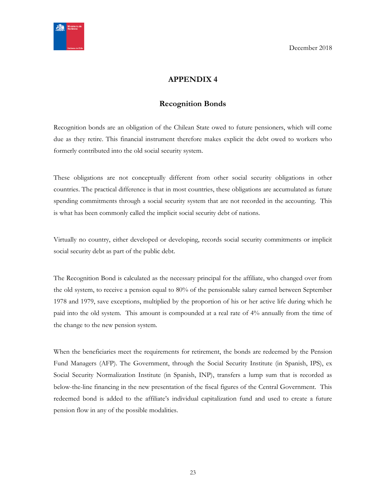<span id="page-22-0"></span>

# **APPENDIX 4**

# **Recognition Bonds**

<span id="page-22-1"></span>Recognition bonds are an obligation of the Chilean State owed to future pensioners, which will come due as they retire. This financial instrument therefore makes explicit the debt owed to workers who formerly contributed into the old social security system.

These obligations are not conceptually different from other social security obligations in other countries. The practical difference is that in most countries, these obligations are accumulated as future spending commitments through a social security system that are not recorded in the accounting. This is what has been commonly called the implicit social security debt of nations.

Virtually no country, either developed or developing, records social security commitments or implicit social security debt as part of the public debt.

The Recognition Bond is calculated as the necessary principal for the affiliate, who changed over from the old system, to receive a pension equal to 80% of the pensionable salary earned between September 1978 and 1979, save exceptions, multiplied by the proportion of his or her active life during which he paid into the old system. This amount is compounded at a real rate of 4% annually from the time of the change to the new pension system.

When the beneficiaries meet the requirements for retirement, the bonds are redeemed by the Pension Fund Managers (AFP). The Government, through the Social Security Institute (in Spanish, IPS), ex Social Security Normalization Institute (in Spanish, INP), transfers a lump sum that is recorded as below-the-line financing in the new presentation of the fiscal figures of the Central Government. This redeemed bond is added to the affiliate's individual capitalization fund and used to create a future pension flow in any of the possible modalities.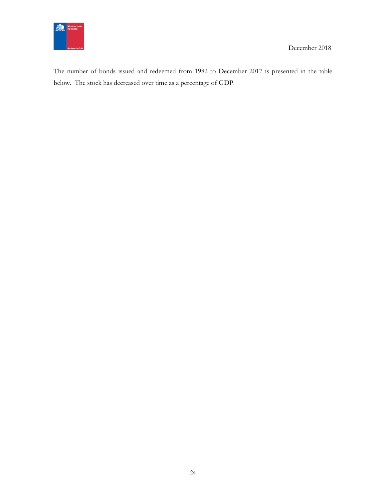

The number of bonds issued and redeemed from 1982 to December 2017 is presented in the table below. The stock has decreased over time as a percentage of GDP.